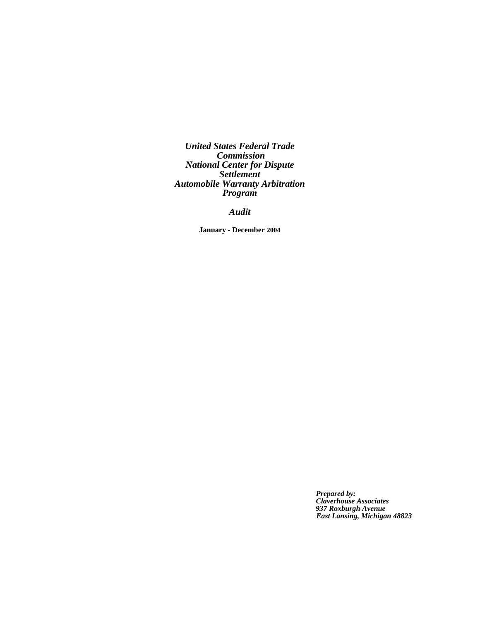*United States Federal Trade Commission National Center for Dispute Settlement Automobile Warranty Arbitration Program*

*Audit*

**January - December 2004**

 *Prepared by: Claverhouse Associates 937 Roxburgh Avenue East Lansing, Michigan 48823*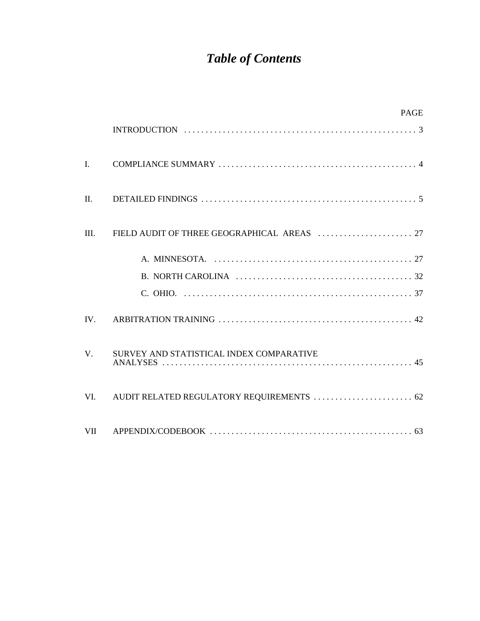# *Table of Contents*

|                | <b>PAGE</b>                              |
|----------------|------------------------------------------|
|                |                                          |
| $\mathbf{I}$ . |                                          |
| II.            |                                          |
| III.           |                                          |
|                |                                          |
|                |                                          |
|                |                                          |
| IV.            |                                          |
| V.             | SURVEY AND STATISTICAL INDEX COMPARATIVE |
| VI.            |                                          |
|                |                                          |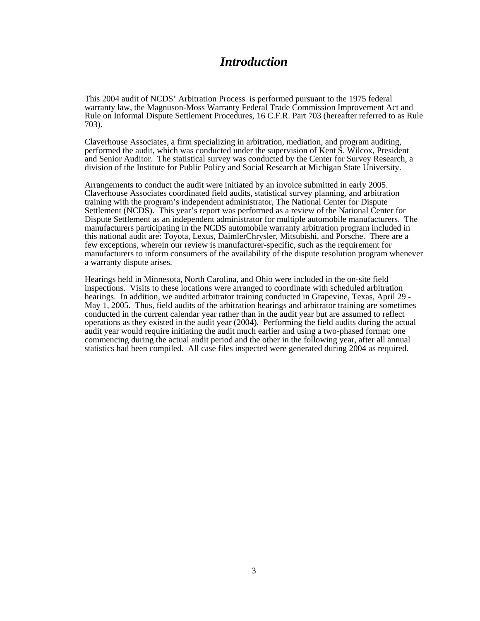## *Introduction*

This 2004 audit of NCDS' Arbitration Process is performed pursuant to the 1975 federal warranty law, the Magnuson-Moss Warranty Federal Trade Commission Improvement Act and Rule on Informal Dispute Settlement Procedures, 16 C.F.R. Part 703 (hereafter referred to as Rule 703).

Claverhouse Associates, a firm specializing in arbitration, mediation, and program auditing, performed the audit, which was conducted under the supervision of Kent S. Wilcox, President and Senior Auditor. The statistical survey was conducted by the Center for Survey Research, a division of the Institute for Public Policy and Social Research at Michigan State University.

Arrangements to conduct the audit were initiated by an invoice submitted in early 2005. Claverhouse Associates coordinated field audits, statistical survey planning, and arbitration training with the program's independent administrator, The National Center for Dispute Settlement (NCDS). This year's report was performed as a review of the National Center for Dispute Settlement as an independent administrator for multiple automobile manufacturers. The manufacturers participating in the NCDS automobile warranty arbitration program included in this national audit are: Toyota, Lexus, DaimlerChrysler, Mitsubishi, and Porsche. There are a few exceptions, wherein our review is manufacturer-specific, such as the requirement for manufacturers to inform consumers of the availability of the dispute resolution program whenever a warranty dispute arises.

Hearings held in Minnesota, North Carolina, and Ohio were included in the on-site field inspections. Visits to these locations were arranged to coordinate with scheduled arbitration hearings. In addition, we audited arbitrator training conducted in Grapevine, Texas, April 29 - May 1, 2005. Thus, field audits of the arbitration hearings and arbitrator training are sometimes conducted in the current calendar year rather than in the audit year but are assumed to reflect operations as they existed in the audit year (2004). Performing the field audits during the actual audit year would require initiating the audit much earlier and using a two-phased format: one commencing during the actual audit period and the other in the following year, after all annual statistics had been compiled. All case files inspected were generated during 2004 as required.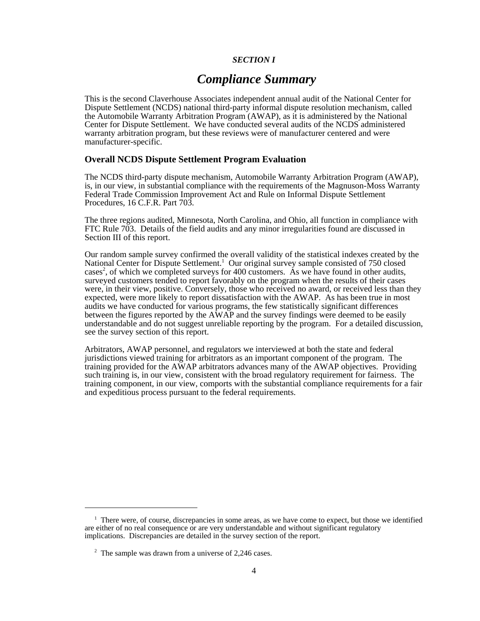## *SECTION I*

## *Compliance Summary*

This is the second Claverhouse Associates independent annual audit of the National Center for Dispute Settlement (NCDS) national third-party informal dispute resolution mechanism, called the Automobile Warranty Arbitration Program (AWAP), as it is administered by the National Center for Dispute Settlement. We have conducted several audits of the NCDS administered warranty arbitration program, but these reviews were of manufacturer centered and were manufacturer-specific.

## **Overall NCDS Dispute Settlement Program Evaluation**

The NCDS third-party dispute mechanism, Automobile Warranty Arbitration Program (AWAP), is, in our view, in substantial compliance with the requirements of the Magnuson-Moss Warranty Federal Trade Commission Improvement Act and Rule on Informal Dispute Settlement Procedures, 16 C.F.R. Part 703.

The three regions audited, Minnesota, North Carolina, and Ohio, all function in compliance with FTC Rule 703. Details of the field audits and any minor irregularities found are discussed in Section III of this report.

Our random sample survey confirmed the overall validity of the statistical indexes created by the National Center for Dispute Settlement.<sup>1</sup> Our original survey sample consisted of 750 closed cases<sup>2</sup>, of which we completed surveys for 400 customers. As we have found in other audits, surveyed customers tended to report favorably on the program when the results of their cases were, in their view, positive. Conversely, those who received no award, or received less than they expected, were more likely to report dissatisfaction with the AWAP. As has been true in most audits we have conducted for various programs, the few statistically significant differences between the figures reported by the AWAP and the survey findings were deemed to be easily understandable and do not suggest unreliable reporting by the program. For a detailed discussion, see the survey section of this report.

Arbitrators, AWAP personnel, and regulators we interviewed at both the state and federal jurisdictions viewed training for arbitrators as an important component of the program. The training provided for the AWAP arbitrators advances many of the AWAP objectives. Providing such training is, in our view, consistent with the broad regulatory requirement for fairness. The training component, in our view, comports with the substantial compliance requirements for a fair and expeditious process pursuant to the federal requirements.

<sup>&</sup>lt;sup>1</sup> There were, of course, discrepancies in some areas, as we have come to expect, but those we identified are either of no real consequence or are very understandable and without significant regulatory implications. Discrepancies are detailed in the survey section of the report.

<sup>&</sup>lt;sup>2</sup> The sample was drawn from a universe of 2,246 cases.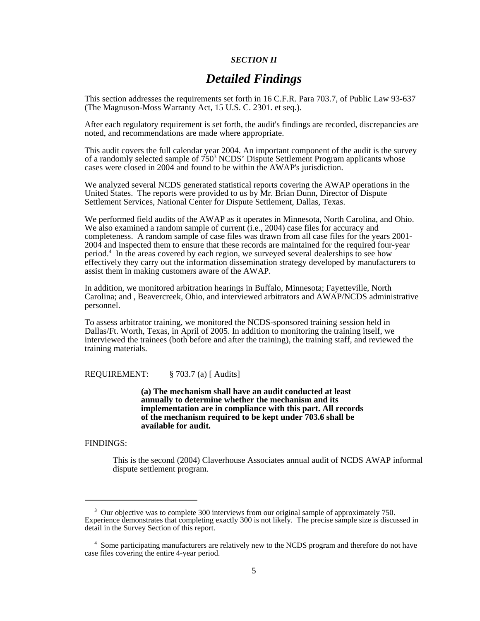## *SECTION II*

## *Detailed Findings*

This section addresses the requirements set forth in 16 C.F.R. Para 703.7, of Public Law 93-637 (The Magnuson-Moss Warranty Act, 15 U.S. C. 2301. et seq.).

After each regulatory requirement is set forth, the audit's findings are recorded, discrepancies are noted, and recommendations are made where appropriate.

This audit covers the full calendar year 2004. An important component of the audit is the survey of a randomly selected sample of 750<sup>3</sup> NCDS' Dispute Settlement Program applicants whose cases were closed in 2004 and found to be within the AWAP's jurisdiction.

We analyzed several NCDS generated statistical reports covering the AWAP operations in the United States. The reports were provided to us by Mr. Brian Dunn, Director of Dispute Settlement Services, National Center for Dispute Settlement, Dallas, Texas.

We performed field audits of the AWAP as it operates in Minnesota, North Carolina, and Ohio. We also examined a random sample of current (i.e., 2004) case files for accuracy and completeness. A random sample of case files was drawn from all case files for the years 2001- 2004 and inspected them to ensure that these records are maintained for the required four-year period.4 In the areas covered by each region, we surveyed several dealerships to see how effectively they carry out the information dissemination strategy developed by manufacturers to assist them in making customers aware of the AWAP.

In addition, we monitored arbitration hearings in Buffalo, Minnesota; Fayetteville, North Carolina; and , Beavercreek, Ohio, and interviewed arbitrators and AWAP/NCDS administrative personnel.

To assess arbitrator training, we monitored the NCDS-sponsored training session held in Dallas/Ft. Worth, Texas, in April of 2005. In addition to monitoring the training itself, we interviewed the trainees (both before and after the training), the training staff, and reviewed the training materials.

REQUIREMENT: § 703.7 (a) [ Audits]

**(a) The mechanism shall have an audit conducted at least annually to determine whether the mechanism and its implementation are in compliance with this part. All records of the mechanism required to be kept under 703.6 shall be available for audit.**

FINDINGS:

This is the second (2004) Claverhouse Associates annual audit of NCDS AWAP informal dispute settlement program.

<sup>&</sup>lt;sup>3</sup> Our objective was to complete 300 interviews from our original sample of approximately 750. Experience demonstrates that completing exactly 300 is not likely. The precise sample size is discussed in detail in the Survey Section of this report.

<sup>&</sup>lt;sup>4</sup> Some participating manufacturers are relatively new to the NCDS program and therefore do not have case files covering the entire 4-year period.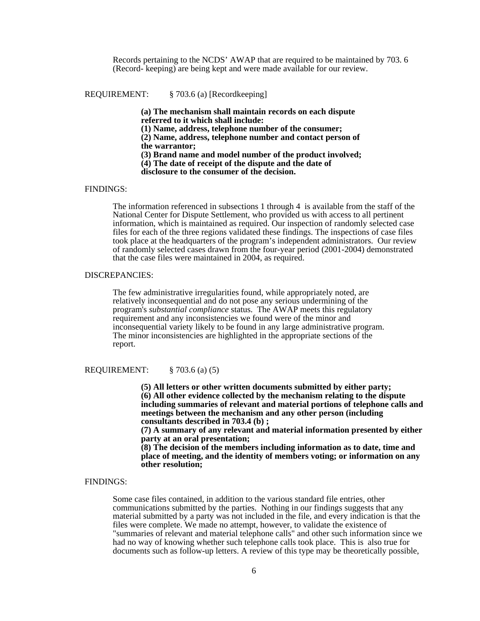Records pertaining to the NCDS' AWAP that are required to be maintained by 703. 6 (Record- keeping) are being kept and were made available for our review.

REQUIREMENT: § 703.6 (a) [Recordkeeping]

**(a) The mechanism shall maintain records on each dispute referred to it which shall include: (1) Name, address, telephone number of the consumer; (2) Name, address, telephone number and contact person of the warrantor; (3) Brand name and model number of the product involved;**

**(4) The date of receipt of the dispute and the date of**

**disclosure to the consumer of the decision.**

#### FINDINGS:

The information referenced in subsections 1 through 4 is available from the staff of the National Center for Dispute Settlement, who provided us with access to all pertinent information, which is maintained as required. Our inspection of randomly selected case files for each of the three regions validated these findings. The inspections of case files took place at the headquarters of the program's independent administrators. Our review of randomly selected cases drawn from the four-year period (2001-2004) demonstrated that the case files were maintained in 2004, as required.

#### DISCREPANCIES:

The few administrative irregularities found, while appropriately noted, are relatively inconsequential and do not pose any serious undermining of the program's *substantial compliance* status. The AWAP meets this regulatory requirement and any inconsistencies we found were of the minor and inconsequential variety likely to be found in any large administrative program. The minor inconsistencies are highlighted in the appropriate sections of the report.

#### REQUIREMENT: § 703.6 (a) (5)

**(5) All letters or other written documents submitted by either party;** 

**(6) All other evidence collected by the mechanism relating to the dispute including summaries of relevant and material portions of telephone calls and meetings between the mechanism and any other person (including consultants described in 703.4 (b) ;** 

**(7) A summary of any relevant and material information presented by either party at an oral presentation;** 

**(8) The decision of the members including information as to date, time and place of meeting, and the identity of members voting; or information on any other resolution;**

#### FINDINGS:

 Some case files contained, in addition to the various standard file entries, other communications submitted by the parties. Nothing in our findings suggests that any material submitted by a party was not included in the file, and every indication is that the files were complete. We made no attempt, however, to validate the existence of "summaries of relevant and material telephone calls" and other such information since we had no way of knowing whether such telephone calls took place. This is also true for documents such as follow-up letters. A review of this type may be theoretically possible,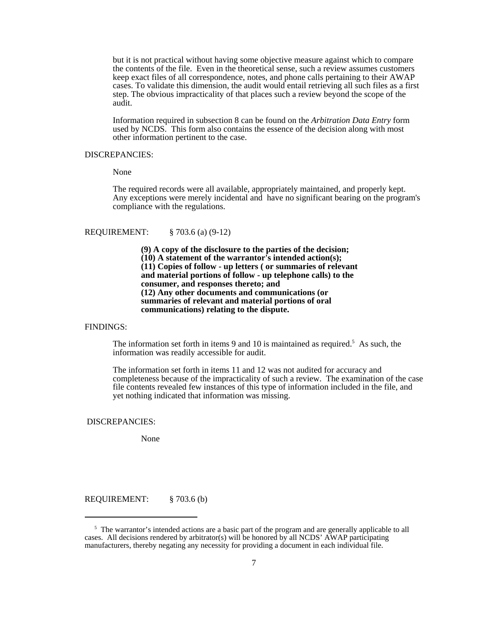but it is not practical without having some objective measure against which to compare the contents of the file. Even in the theoretical sense, such a review assumes customers keep exact files of all correspondence, notes, and phone calls pertaining to their AWAP cases. To validate this dimension, the audit would entail retrieving all such files as a first step. The obvious impracticality of that places such a review beyond the scope of the audit.

Information required in subsection 8 can be found on the *Arbitration Data Entry* form used by NCDS. This form also contains the essence of the decision along with most other information pertinent to the case.

#### DISCREPANCIES:

None

The required records were all available, appropriately maintained, and properly kept. Any exceptions were merely incidental and have no significant bearing on the program's compliance with the regulations.

## REQUIREMENT: § 703.6 (a) (9-12)

**(9) A copy of the disclosure to the parties of the decision; (10) A statement of the warrantor's intended action(s); (11) Copies of follow - up letters ( or summaries of relevant and material portions of follow - up telephone calls) to the consumer, and responses thereto; and (12) Any other documents and communications (or summaries of relevant and material portions of oral communications) relating to the dispute.**

FINDINGS:

The information set forth in items 9 and 10 is maintained as required.<sup>5</sup> As such, the information was readily accessible for audit.

The information set forth in items 11 and 12 was not audited for accuracy and completeness because of the impracticality of such a review. The examination of the case file contents revealed few instances of this type of information included in the file, and yet nothing indicated that information was missing.

DISCREPANCIES:

None

REQUIREMENT: § 703.6 (b)

<sup>&</sup>lt;sup>5</sup> The warrantor's intended actions are a basic part of the program and are generally applicable to all cases. All decisions rendered by arbitrator(s) will be honored by all NCDS' AWAP participating manufacturers, thereby negating any necessity for providing a document in each individual file.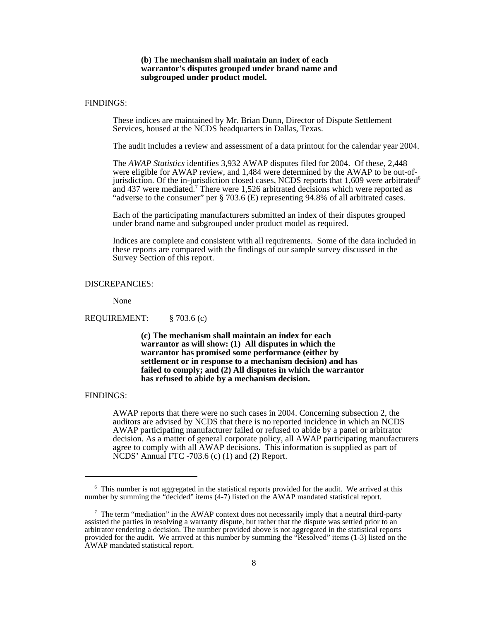#### **(b) The mechanism shall maintain an index of each warrantor's disputes grouped under brand name and subgrouped under product model.**

#### FINDINGS:

These indices are maintained by Mr. Brian Dunn, Director of Dispute Settlement Services, housed at the NCDS headquarters in Dallas, Texas.

The audit includes a review and assessment of a data printout for the calendar year 2004.

The *AWAP Statistics* identifies 3,932 AWAP disputes filed for 2004. Of these, 2,448 were eligible for AWAP review, and 1,484 were determined by the AWAP to be out-ofjurisdiction. Of the in-jurisdiction closed cases, NCDS reports that  $1,609$  were arbitrated<sup>6</sup> and 437 were mediated.<sup>7</sup> There were 1,526 arbitrated decisions which were reported as "adverse to the consumer" per § 703.6 (E) representing 94.8% of all arbitrated cases.

Each of the participating manufacturers submitted an index of their disputes grouped under brand name and subgrouped under product model as required.

Indices are complete and consistent with all requirements. Some of the data included in these reports are compared with the findings of our sample survey discussed in the Survey Section of this report.

#### DISCREPANCIES:

None

REQUIREMENT: § 703.6 (c)

**(c) The mechanism shall maintain an index for each warrantor as will show: (1) All disputes in which the warrantor has promised some performance (either by settlement or in response to a mechanism decision) and has failed to comply; and (2) All disputes in which the warrantor has refused to abide by a mechanism decision.**

#### FINDINGS:

AWAP reports that there were no such cases in 2004. Concerning subsection 2, the auditors are advised by NCDS that there is no reported incidence in which an NCDS AWAP participating manufacturer failed or refused to abide by a panel or arbitrator decision. As a matter of general corporate policy, all AWAP participating manufacturers agree to comply with all AWAP decisions. This information is supplied as part of NCDS' Annual FTC -703.6 (c) (1) and (2) Report.

<sup>&</sup>lt;sup>6</sup> This number is not aggregated in the statistical reports provided for the audit. We arrived at this number by summing the "decided" items (4-7) listed on the AWAP mandated statistical report.

<sup>&</sup>lt;sup>7</sup> The term "mediation" in the AWAP context does not necessarily imply that a neutral third-party assisted the parties in resolving a warranty dispute, but rather that the dispute was settled prior to an arbitrator rendering a decision. The number provided above is not aggregated in the statistical reports provided for the audit. We arrived at this number by summing the "Resolved" items (1-3) listed on the AWAP mandated statistical report.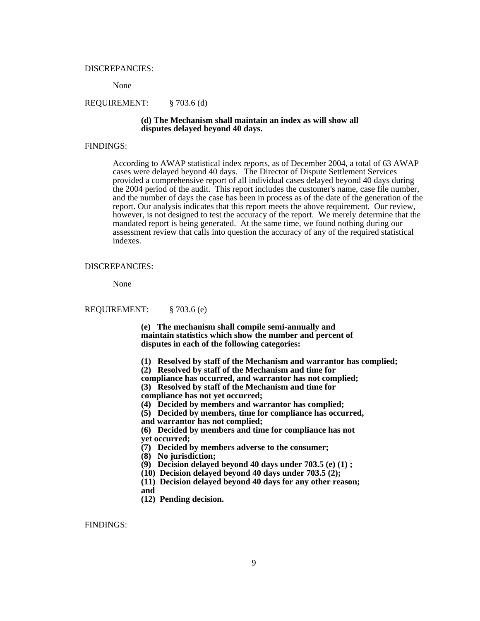#### DISCREPANCIES:

None

#### REQUIREMENT: § 703.6 (d)

#### **(d) The Mechanism shall maintain an index as will show all disputes delayed beyond 40 days.**

#### FINDINGS:

According to AWAP statistical index reports, as of December 2004, a total of 63 AWAP cases were delayed beyond 40 days. The Director of Dispute Settlement Services provided a comprehensive report of all individual cases delayed beyond 40 days during the 2004 period of the audit. This report includes the customer's name, case file number, and the number of days the case has been in process as of the date of the generation of the report. Our analysis indicates that this report meets the above requirement. Our review, however, is not designed to test the accuracy of the report. We merely determine that the mandated report is being generated. At the same time, we found nothing during our assessment review that calls into question the accuracy of any of the required statistical indexes.

#### DISCREPANCIES:

None

REQUIREMENT: § 703.6 (e)

**(e) The mechanism shall compile semi-annually and maintain statistics which show the number and percent of disputes in each of the following categories:** 

- **(1) Resolved by staff of the Mechanism and warrantor has complied;**
- **(2) Resolved by staff of the Mechanism and time for**

**compliance has occurred, and warrantor has not complied;**

 **(3) Resolved by staff of the Mechanism and time for compliance has not yet occurred;**

- **(4) Decided by members and warrantor has complied;**
- **(5) Decided by members, time for compliance has occurred,**
- **and warrantor has not complied;**

**(6) Decided by members and time for compliance has not**

**yet occurred;**

**(7) Decided by members adverse to the consumer;**

- **(8) No jurisdiction;**
- **(9) Decision delayed beyond 40 days under 703.5 (e) (1) ;**

**(10) Decision delayed beyond 40 days under 703.5 (2);**

**(11) Decision delayed beyond 40 days for any other reason;**

**and** 

**(12) Pending decision.**

FINDINGS: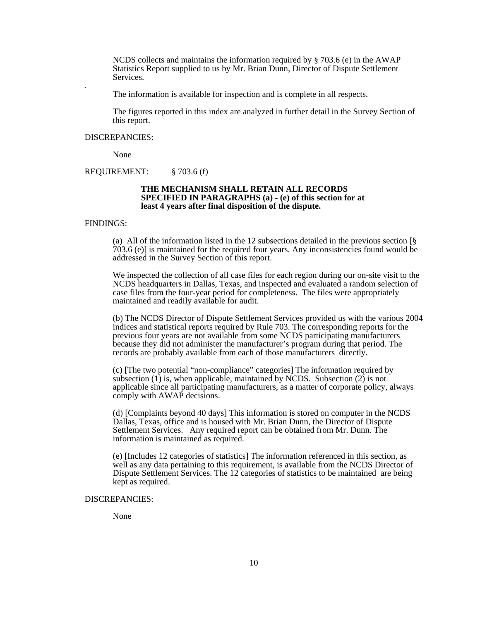NCDS collects and maintains the information required by  $\S$  703.6 (e) in the AWAP Statistics Report supplied to us by Mr. Brian Dunn, Director of Dispute Settlement Services.

. The information is available for inspection and is complete in all respects.

The figures reported in this index are analyzed in further detail in the Survey Section of this report.

#### DISCREPANCIES:

None

REQUIREMENT: § 703.6 (f)

#### **THE MECHANISM SHALL RETAIN ALL RECORDS SPECIFIED IN PARAGRAPHS (a) - (e) of this section for at least 4 years after final disposition of the dispute.**

#### FINDINGS:

(a) All of the information listed in the 12 subsections detailed in the previous section [§ 703.6 (e)] is maintained for the required four years. Any inconsistencies found would be addressed in the Survey Section of this report.

We inspected the collection of all case files for each region during our on-site visit to the NCDS headquarters in Dallas, Texas, and inspected and evaluated a random selection of case files from the four-year period for completeness. The files were appropriately maintained and readily available for audit.

(b) The NCDS Director of Dispute Settlement Services provided us with the various 2004 indices and statistical reports required by Rule 703. The corresponding reports for the previous four years are not available from some NCDS participating manufacturers because they did not administer the manufacturer's program during that period. The records are probably available from each of those manufacturers directly.

(c) [The two potential "non-compliance" categories] The information required by subsection  $(1)$  is, when applicable, maintained by NCDS. Subsection  $(2)$  is not applicable since all participating manufacturers, as a matter of corporate policy, always comply with AWAP decisions.

(d) [Complaints beyond 40 days] This information is stored on computer in the NCDS Dallas, Texas, office and is housed with Mr. Brian Dunn, the Director of Dispute Settlement Services. Any required report can be obtained from Mr. Dunn. The information is maintained as required.

(e) [Includes 12 categories of statistics] The information referenced in this section, as well as any data pertaining to this requirement, is available from the NCDS Director of Dispute Settlement Services. The 12 categories of statistics to be maintained are being kept as required.

#### DISCREPANCIES:

None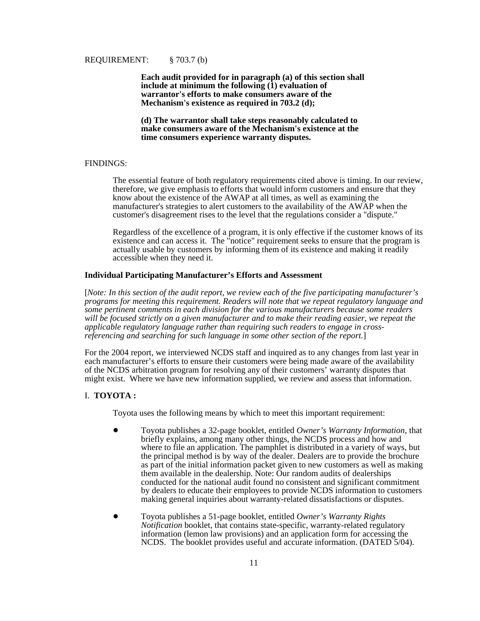**Each audit provided for in paragraph (a) of this section shall** include at minimum the following  $(\hat{1})$  evaluation of **warrantor's efforts to make consumers aware of the Mechanism's existence as required in 703.2 (d);**

**(d) The warrantor shall take steps reasonably calculated to make consumers aware of the Mechanism's existence at the time consumers experience warranty disputes.**

#### FINDINGS:

The essential feature of both regulatory requirements cited above is timing. In our review, therefore, we give emphasis to efforts that would inform customers and ensure that they know about the existence of the AWAP at all times, as well as examining the manufacturer's strategies to alert customers to the availability of the AWAP when the customer's disagreement rises to the level that the regulations consider a "dispute."

Regardless of the excellence of a program, it is only effective if the customer knows of its existence and can access it. The "notice" requirement seeks to ensure that the program is actually usable by customers by informing them of its existence and making it readily accessible when they need it.

#### **Individual Participating Manufacturer's Efforts and Assessment**

[*Note: In this section of the audit report, we review each of the five participating manufacturer's programs for meeting this requirement. Readers will note that we repeat regulatory language and some pertinent comments in each division for the various manufacturers because some readers will be focused strictly on a given manufacturer and to make their reading easier, we repeat the applicable regulatory language rather than requiring such readers to engage in crossreferencing and searching for such language in some other section of the report.*]

For the 2004 report, we interviewed NCDS staff and inquired as to any changes from last year in each manufacturer's efforts to ensure their customers were being made aware of the availability of the NCDS arbitration program for resolving any of their customers' warranty disputes that might exist. Where we have new information supplied, we review and assess that information.

#### I. **TOYOTA :**

Toyota uses the following means by which to meet this important requirement:

- ! Toyota publishes a 32-page booklet, entitled *Owner's Warranty Information*, that briefly explains, among many other things, the NCDS process and how and where to file an application. The pamphlet is distributed in a variety of ways, but the principal method is by way of the dealer. Dealers are to provide the brochure as part of the initial information packet given to new customers as well as making them available in the dealership. Note: Our random audits of dealerships conducted for the national audit found no consistent and significant commitment by dealers to educate their employees to provide NCDS information to customers making general inquiries about warranty-related dissatisfactions or disputes.
- ! Toyota publishes a 51-page booklet, entitled *Owner's Warranty Rights Notification* booklet, that contains state-specific, warranty-related regulatory information (lemon law provisions) and an application form for accessing the NCDS. The booklet provides useful and accurate information. (DATED 5/04).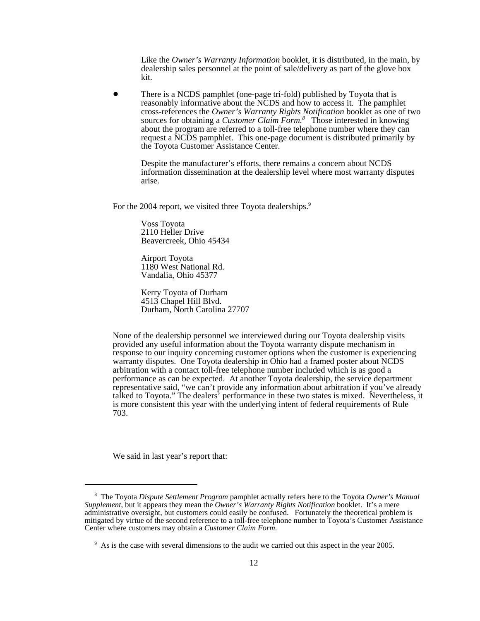Like the *Owner's Warranty Information* booklet, it is distributed, in the main, by dealership sales personnel at the point of sale/delivery as part of the glove box kit.

! There is a NCDS pamphlet (one-page tri-fold) published by Toyota that is reasonably informative about the NCDS and how to access it. The pamphlet cross-references the *Owner's Warranty Rights Notification* booklet as one of two sources for obtaining a *Customer Claim Form.8* Those interested in knowing about the program are referred to a toll-free telephone number where they can request a NCDS pamphlet. This one-page document is distributed primarily by the Toyota Customer Assistance Center.

Despite the manufacturer's efforts, there remains a concern about NCDS information dissemination at the dealership level where most warranty disputes arise.

For the 2004 report, we visited three Toyota dealerships.<sup>9</sup>

Voss Toyota 2110 Heller Drive Beavercreek, Ohio 45434

Airport Toyota 1180 West National Rd. Vandalia, Ohio 45377

Kerry Toyota of Durham 4513 Chapel Hill Blvd. Durham, North Carolina 27707

None of the dealership personnel we interviewed during our Toyota dealership visits provided any useful information about the Toyota warranty dispute mechanism in response to our inquiry concerning customer options when the customer is experiencing warranty disputes. One Toyota dealership in Ohio had a framed poster about NCDS arbitration with a contact toll-free telephone number included which is as good a performance as can be expected. At another Toyota dealership, the service department representative said, "we can't provide any information about arbitration if you've already talked to Toyota." The dealers' performance in these two states is mixed. Nevertheless, it is more consistent this year with the underlying intent of federal requirements of Rule 703.

We said in last year's report that:

 <sup>8</sup> The Toyota *Dispute Settlement Program* pamphlet actually refers here to the Toyota *Owner's Manual Supplement*, but it appears they mean the *Owner's Warranty Rights Notification* booklet. It's a mere administrative oversight, but customers could easily be confused. Fortunately the theoretical problem is mitigated by virtue of the second reference to a toll-free telephone number to Toyota's Customer Assistance Center where customers may obtain a *Customer Claim Form*.

<sup>&</sup>lt;sup>9</sup> As is the case with several dimensions to the audit we carried out this aspect in the year 2005.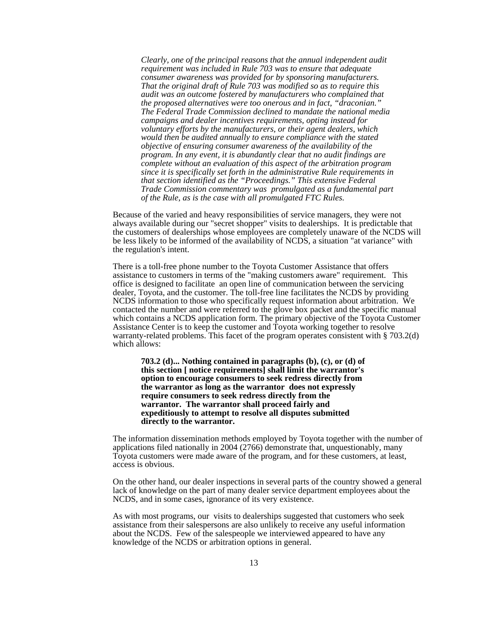*Clearly, one of the principal reasons that the annual independent audit requirement was included in Rule 703 was to ensure that adequate consumer awareness was provided for by sponsoring manufacturers. That the original draft of Rule 703 was modified so as to require this audit was an outcome fostered by manufacturers who complained that the proposed alternatives were too onerous and in fact, "draconian." The Federal Trade Commission declined to mandate the national media campaigns and dealer incentives requirements, opting instead for voluntary efforts by the manufacturers, or their agent dealers, which would then be audited annually to ensure compliance with the stated objective of ensuring consumer awareness of the availability of the program. In any event, it is abundantly clear that no audit findings are complete without an evaluation of this aspect of the arbitration program since it is specifically set forth in the administrative Rule requirements in that section identified as the "Proceedings." This extensive Federal Trade Commission commentary was promulgated as a fundamental part of the Rule, as is the case with all promulgated FTC Rules.*

Because of the varied and heavy responsibilities of service managers, they were not always available during our "secret shopper" visits to dealerships. It is predictable that the customers of dealerships whose employees are completely unaware of the NCDS will be less likely to be informed of the availability of NCDS, a situation "at variance" with the regulation's intent.

 There is a toll-free phone number to the Toyota Customer Assistance that offers assistance to customers in terms of the "making customers aware" requirement. This office is designed to facilitate an open line of communication between the servicing dealer, Toyota, and the customer. The toll-free line facilitates the NCDS by providing NCDS information to those who specifically request information about arbitration. We contacted the number and were referred to the glove box packet and the specific manual which contains a NCDS application form. The primary objective of the Toyota Customer Assistance Center is to keep the customer and Toyota working together to resolve warranty-related problems. This facet of the program operates consistent with § 703.2(d) which allows:

**703.2 (d)... Nothing contained in paragraphs (b), (c), or (d) of this section [ notice requirements] shall limit the warrantor's option to encourage consumers to seek redress directly from the warrantor as long as the warrantor does not expressly require consumers to seek redress directly from the warrantor. The warrantor shall proceed fairly and expeditiously to attempt to resolve all disputes submitted directly to the warrantor.** 

 The information dissemination methods employed by Toyota together with the number of applications filed nationally in 2004 (2766) demonstrate that, unquestionably, many Toyota customers were made aware of the program, and for these customers, at least, access is obvious.

On the other hand, our dealer inspections in several parts of the country showed a general lack of knowledge on the part of many dealer service department employees about the NCDS, and in some cases, ignorance of its very existence.

As with most programs, our visits to dealerships suggested that customers who seek assistance from their salespersons are also unlikely to receive any useful information about the NCDS. Few of the salespeople we interviewed appeared to have any knowledge of the NCDS or arbitration options in general.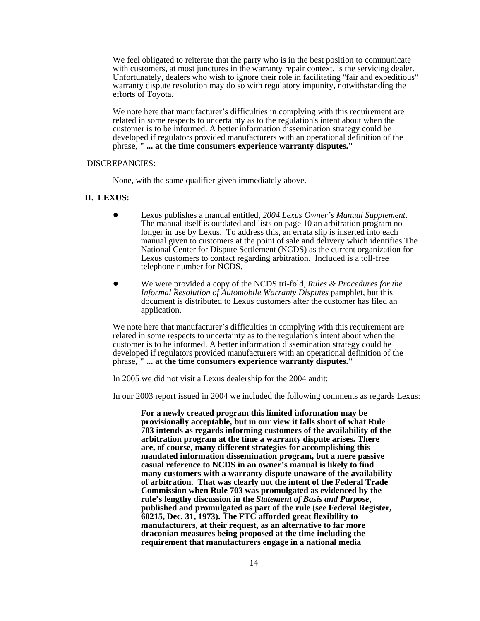We feel obligated to reiterate that the party who is in the best position to communicate with customers, at most junctures in the warranty repair context, is the servicing dealer. Unfortunately, dealers who wish to ignore their role in facilitating "fair and expeditious" warranty dispute resolution may do so with regulatory impunity, notwithstanding the efforts of Toyota.

We note here that manufacturer's difficulties in complying with this requirement are related in some respects to uncertainty as to the regulation's intent about when the customer is to be informed. A better information dissemination strategy could be developed if regulators provided manufacturers with an operational definition of the phrase, **" ... at the time consumers experience warranty disputes."**

#### DISCREPANCIES:

None, with the same qualifier given immediately above.

### **II. LEXUS:**

- ! Lexus publishes a manual entitled, *2004 Lexus Owner's Manual Supplement*. The manual itself is outdated and lists on page 10 an arbitration program no longer in use by Lexus. To address this, an errata slip is inserted into each manual given to customers at the point of sale and delivery which identifies The National Center for Dispute Settlement (NCDS) as the current organization for Lexus customers to contact regarding arbitration. Included is a toll-free telephone number for NCDS.
- ! We were provided a copy of the NCDS tri-fold, *Rules & Procedures for the Informal Resolution of Automobile Warranty Disputes* pamphlet, but this document is distributed to Lexus customers after the customer has filed an application.

We note here that manufacturer's difficulties in complying with this requirement are related in some respects to uncertainty as to the regulation's intent about when the customer is to be informed. A better information dissemination strategy could be developed if regulators provided manufacturers with an operational definition of the phrase, **" ... at the time consumers experience warranty disputes."**

In 2005 we did not visit a Lexus dealership for the 2004 audit:

In our 2003 report issued in 2004 we included the following comments as regards Lexus:

**For a newly created program this limited information may be provisionally acceptable, but in our view it falls short of what Rule 703 intends as regards informing customers of the availability of the arbitration program at the time a warranty dispute arises. There are, of course, many different strategies for accomplishing this mandated information dissemination program, but a mere passive casual reference to NCDS in an owner's manual is likely to find many customers with a warranty dispute unaware of the availability of arbitration. That was clearly not the intent of the Federal Trade Commission when Rule 703 was promulgated as evidenced by the rule's lengthy discussion in the** *Statement of Basis and Purpose***, published and promulgated as part of the rule (see Federal Register, 60215, Dec. 31, 1973). The FTC afforded great flexibility to manufacturers, at their request, as an alternative to far more draconian measures being proposed at the time including the requirement that manufacturers engage in a national media**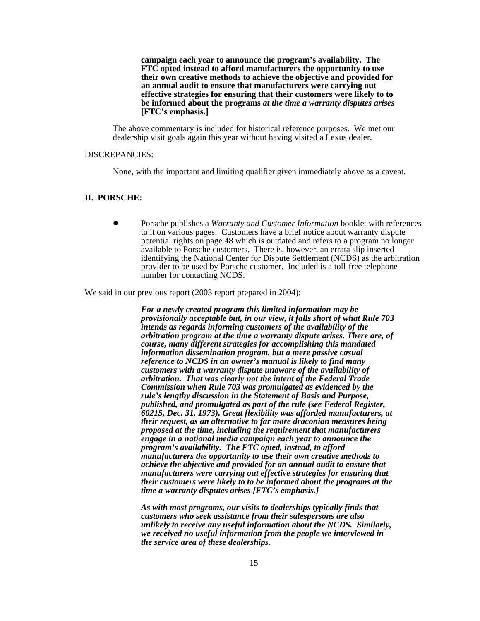**campaign each year to announce the program's availability. The FTC opted instead to afford manufacturers the opportunity to use their own creative methods to achieve the objective and provided for an annual audit to ensure that manufacturers were carrying out effective strategies for ensuring that their customers were likely to to be informed about the programs** *at the time a warranty disputes arises* **[FTC's emphasis.]**

The above commentary is included for historical reference purposes. We met our dealership visit goals again this year without having visited a Lexus dealer.

#### DISCREPANCIES:

None, with the important and limiting qualifier given immediately above as a caveat.

#### **II. PORSCHE:**

! Porsche publishes a *Warranty and Customer Information* booklet with references to it on various pages. Customers have a brief notice about warranty dispute potential rights on page 48 which is outdated and refers to a program no longer available to Porsche customers. There is, however, an errata slip inserted identifying the National Center for Dispute Settlement (NCDS) as the arbitration provider to be used by Porsche customer. Included is a toll-free telephone number for contacting NCDS.

We said in our previous report (2003 report prepared in 2004):

*For a newly created program this limited information may be provisionally acceptable but, in our view, it falls short of what Rule 703 intends as regards informing customers of the availability of the arbitration program at the time a warranty dispute arises. There are, of course, many different strategies for accomplishing this mandated information dissemination program, but a mere passive casual reference to NCDS in an owner's manual is likely to find many customers with a warranty dispute unaware of the availability of arbitration. That was clearly not the intent of the Federal Trade Commission when Rule 703 was promulgated as evidenced by the rule's lengthy discussion in the Statement of Basis and Purpose, published, and promulgated as part of the rule (see Federal Register, 60215, Dec. 31, 1973). Great flexibility was afforded manufacturers, at their request, as an alternative to far more draconian measures being proposed at the time, including the requirement that manufacturers engage in a national media campaign each year to announce the program's availability. The FTC opted, instead, to afford manufacturers the opportunity to use their own creative methods to achieve the objective and provided for an annual audit to ensure that manufacturers were carrying out effective strategies for ensuring that their customers were likely to to be informed about the programs at the time a warranty disputes arises [FTC's emphasis.]*

*As with most programs, our visits to dealerships typically finds that customers who seek assistance from their salespersons are also unlikely to receive any useful information about the NCDS. Similarly, we received no useful information from the people we interviewed in the service area of these dealerships.*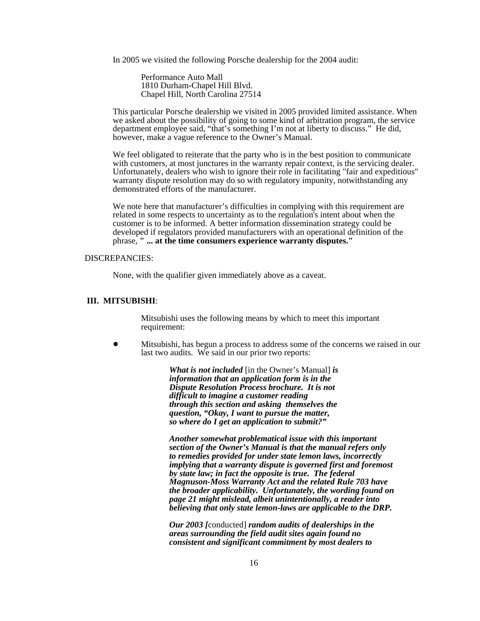In 2005 we visited the following Porsche dealership for the 2004 audit:

Performance Auto Mall 1810 Durham-Chapel Hill Blvd. Chapel Hill, North Carolina 27514

This particular Porsche dealership we visited in 2005 provided limited assistance. When we asked about the possibility of going to some kind of arbitration program, the service department employee said, "that's something I'm not at liberty to discuss." He did, however, make a vague reference to the Owner's Manual.

We feel obligated to reiterate that the party who is in the best position to communicate with customers, at most junctures in the warranty repair context, is the servicing dealer. Unfortunately, dealers who wish to ignore their role in facilitating "fair and expeditious" warranty dispute resolution may do so with regulatory impunity, notwithstanding any demonstrated efforts of the manufacturer.

We note here that manufacturer's difficulties in complying with this requirement are related in some respects to uncertainty as to the regulation's intent about when the customer is to be informed. A better information dissemination strategy could be developed if regulators provided manufacturers with an operational definition of the phrase, **" ... at the time consumers experience warranty disputes."**

#### DISCREPANCIES:

None, with the qualifier given immediately above as a caveat.

#### **III. MITSUBISHI**:

Mitsubishi uses the following means by which to meet this important requirement:

! Mitsubishi, has begun a process to address some of the concerns we raised in our last two audits. We said in our prior two reports:

> *What is not included* [in the Owner's Manual] *is information that an application form is in the Dispute Resolution Process brochure. It is not difficult to imagine a customer reading through this section and asking themselves the question, "Okay, I want to pursue the matter, so where do I get an application to submit?"*

*Another somewhat problematical issue with this important section of the Owner's Manual is that the manual refers only to remedies provided for under state lemon laws, incorrectly implying that a warranty dispute is governed first and foremost by state law; in fact the opposite is true. The federal Magnuson-Moss Warranty Act and the related Rule 703 have the broader applicability. Unfortunately, the wording found on page 21 might mislead, albeit unintentionally, a reader into believing that only state lemon-laws are applicable to the DRP.*

*Our 2003 [*conducted] *random audits of dealerships in the areas surrounding the field audit sites again found no consistent and significant commitment by most dealers to*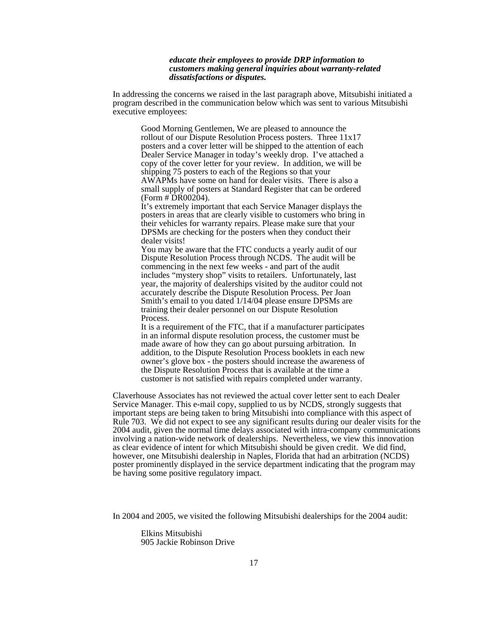#### *educate their employees to provide DRP information to customers making general inquiries about warranty-related dissatisfactions or disputes.*

In addressing the concerns we raised in the last paragraph above, Mitsubishi initiated a program described in the communication below which was sent to various Mitsubishi executive employees:

Good Morning Gentlemen, We are pleased to announce the rollout of our Dispute Resolution Process posters. Three 11x17 posters and a cover letter will be shipped to the attention of each Dealer Service Manager in today's weekly drop. I've attached a copy of the cover letter for your review. In addition, we will be shipping 75 posters to each of the Regions so that your AWAPMs have some on hand for dealer visits. There is also a small supply of posters at Standard Register that can be ordered  $(Form \# \widehat{D}R00204).$ 

It's extremely important that each Service Manager displays the posters in areas that are clearly visible to customers who bring in their vehicles for warranty repairs. Please make sure that your DPSMs are checking for the posters when they conduct their dealer visits!

You may be aware that the FTC conducts a yearly audit of our Dispute Resolution Process through NCDS. The audit will be commencing in the next few weeks - and part of the audit includes "mystery shop" visits to retailers. Unfortunately, last year, the majority of dealerships visited by the auditor could not accurately describe the Dispute Resolution Process. Per Joan Smith's email to you dated 1/14/04 please ensure DPSMs are training their dealer personnel on our Dispute Resolution Process.

It is a requirement of the FTC, that if a manufacturer participates in an informal dispute resolution process, the customer must be made aware of how they can go about pursuing arbitration. In addition, to the Dispute Resolution Process booklets in each new owner's glove box - the posters should increase the awareness of the Dispute Resolution Process that is available at the time a customer is not satisfied with repairs completed under warranty.

Claverhouse Associates has not reviewed the actual cover letter sent to each Dealer Service Manager. This e-mail copy, supplied to us by NCDS, strongly suggests that important steps are being taken to bring Mitsubishi into compliance with this aspect of Rule 703. We did not expect to see any significant results during our dealer visits for the 2004 audit, given the normal time delays associated with intra-company communications involving a nation-wide network of dealerships. Nevertheless, we view this innovation as clear evidence of intent for which Mitsubishi should be given credit. We did find, however, one Mitsubishi dealership in Naples, Florida that had an arbitration (NCDS) poster prominently displayed in the service department indicating that the program may be having some positive regulatory impact.

In 2004 and 2005, we visited the following Mitsubishi dealerships for the 2004 audit:

Elkins Mitsubishi 905 Jackie Robinson Drive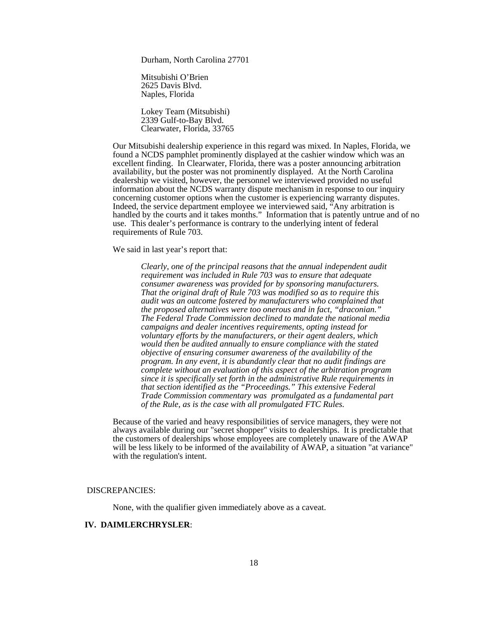Durham, North Carolina 27701

Mitsubishi O'Brien 2625 Davis Blvd. Naples, Florida

Lokey Team (Mitsubishi) 2339 Gulf-to-Bay Blvd. Clearwater, Florida, 33765

Our Mitsubishi dealership experience in this regard was mixed. In Naples, Florida, we found a NCDS pamphlet prominently displayed at the cashier window which was an excellent finding. In Clearwater, Florida, there was a poster announcing arbitration availability, but the poster was not prominently displayed. At the North Carolina dealership we visited, however, the personnel we interviewed provided no useful information about the NCDS warranty dispute mechanism in response to our inquiry concerning customer options when the customer is experiencing warranty disputes. Indeed, the service department employee we interviewed said, "Any arbitration is handled by the courts and it takes months." Information that is patently untrue and of no use. This dealer's performance is contrary to the underlying intent of federal requirements of Rule 703.

We said in last year's report that:

*Clearly, one of the principal reasons that the annual independent audit requirement was included in Rule 703 was to ensure that adequate consumer awareness was provided for by sponsoring manufacturers. That the original draft of Rule 703 was modified so as to require this audit was an outcome fostered by manufacturers who complained that the proposed alternatives were too onerous and in fact, "draconian." The Federal Trade Commission declined to mandate the national media campaigns and dealer incentives requirements, opting instead for voluntary efforts by the manufacturers, or their agent dealers, which would then be audited annually to ensure compliance with the stated objective of ensuring consumer awareness of the availability of the program. In any event, it is abundantly clear that no audit findings are complete without an evaluation of this aspect of the arbitration program since it is specifically set forth in the administrative Rule requirements in that section identified as the "Proceedings." This extensive Federal Trade Commission commentary was promulgated as a fundamental part of the Rule, as is the case with all promulgated FTC Rules.*

Because of the varied and heavy responsibilities of service managers, they were not always available during our "secret shopper" visits to dealerships. It is predictable that the customers of dealerships whose employees are completely unaware of the AWAP will be less likely to be informed of the availability of  $\overline{A}WAP$ , a situation "at variance" with the regulation's intent.

#### DISCREPANCIES:

None, with the qualifier given immediately above as a caveat.

### **IV. DAIMLERCHRYSLER**: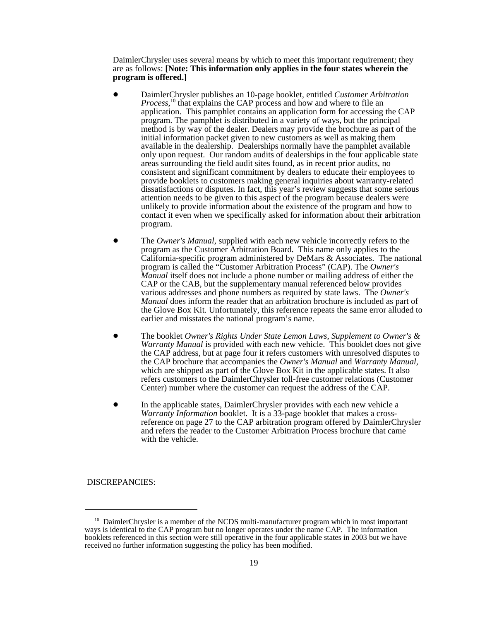DaimlerChrysler uses several means by which to meet this important requirement; they are as follows: **[Note: This information only applies in the four states wherein the program is offered.]**

- ! DaimlerChrysler publishes an 10-page booklet, entitled *Customer Arbitration Process*, 10 that explains the CAP process and how and where to file an application. This pamphlet contains an application form for accessing the CAP program. The pamphlet is distributed in a variety of ways, but the principal method is by way of the dealer. Dealers may provide the brochure as part of the initial information packet given to new customers as well as making them available in the dealership. Dealerships normally have the pamphlet available only upon request. Our random audits of dealerships in the four applicable state areas surrounding the field audit sites found, as in recent prior audits, no consistent and significant commitment by dealers to educate their employees to provide booklets to customers making general inquiries about warranty-related dissatisfactions or disputes. In fact, this year's review suggests that some serious attention needs to be given to this aspect of the program because dealers were unlikely to provide information about the existence of the program and how to contact it even when we specifically asked for information about their arbitration program.
- ! The *Owner's Manual*, supplied with each new vehicle incorrectly refers to the program as the Customer Arbitration Board. This name only applies to the California-specific program administered by DeMars & Associates. The national program is called the "Customer Arbitration Process" (CAP). The *Owner's Manual* itself does not include a phone number or mailing address of either the CAP or the CAB, but the supplementary manual referenced below provides various addresses and phone numbers as required by state laws. The *Owner's Manual* does inform the reader that an arbitration brochure is included as part of the Glove Box Kit. Unfortunately, this reference repeats the same error alluded to earlier and misstates the national program's name.
- ! The booklet *Owner's Rights Under State Lemon Laws*, *Supplement to Owner's & Warranty Manual* is provided with each new vehicle. This booklet does not give the CAP address, but at page four it refers customers with unresolved disputes to the CAP brochure that accompanies the *Owner's Manual* and *Warranty Manual,* which are shipped as part of the Glove Box Kit in the applicable states. It also refers customers to the DaimlerChrysler toll-free customer relations (Customer Center) number where the customer can request the address of the CAP.
- In the applicable states, DaimlerChrysler provides with each new vehicle a *Warranty Information* booklet. It is a 33-page booklet that makes a crossreference on page 27 to the CAP arbitration program offered by DaimlerChrysler and refers the reader to the Customer Arbitration Process brochure that came with the vehicle.

DISCREPANCIES:

 $10$  DaimlerChrysler is a member of the NCDS multi-manufacturer program which in most important ways is identical to the CAP program but no longer operates under the name CAP. The information booklets referenced in this section were still operative in the four applicable states in 2003 but we have received no further information suggesting the policy has been modified.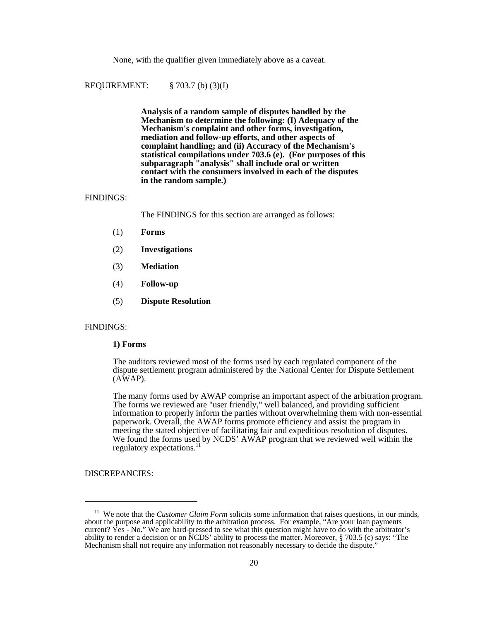None, with the qualifier given immediately above as a caveat.

REQUIREMENT: § 703.7 (b) (3)(I)

**Analysis of a random sample of disputes handled by the Mechanism to determine the following: (I) Adequacy of the Mechanism's complaint and other forms, investigation, mediation and follow-up efforts, and other aspects of complaint handling; and (ii) Accuracy of the Mechanism's statistical compilations under 703.6 (e). (For purposes of this subparagraph "analysis" shall include oral or written contact with the consumers involved in each of the disputes in the random sample.)**

#### FINDINGS:

The FINDINGS for this section are arranged as follows:

- (1) **Forms**
- (2) **Investigations**
- (3) **Mediation**
- (4) **Follow-up**
- (5) **Dispute Resolution**

#### FINDINGS:

#### **1) Forms**

The auditors reviewed most of the forms used by each regulated component of the dispute settlement program administered by the National Center for Dispute Settlement  $(A\bar{W}AP)$ .

The many forms used by AWAP comprise an important aspect of the arbitration program. The forms we reviewed are "user friendly," well balanced, and providing sufficient information to properly inform the parties without overwhelming them with non-essential paperwork. Overall, the AWAP forms promote efficiency and assist the program in meeting the stated objective of facilitating fair and expeditious resolution of disputes. We found the forms used by NCDS' AWAP program that we reviewed well within the regulatory expectations.<sup>11</sup>

DISCREPANCIES:

<sup>&</sup>lt;sup>11</sup> We note that the *Customer Claim Form* solicits some information that raises questions, in our minds, about the purpose and applicability to the arbitration process. For example, "Are your loan payments current? Yes - No." We are hard-pressed to see what this question might have to do with the arbitrator's ability to render a decision or on NCDS' ability to process the matter. Moreover, § 703.5 (c) says: "The Mechanism shall not require any information not reasonably necessary to decide the dispute."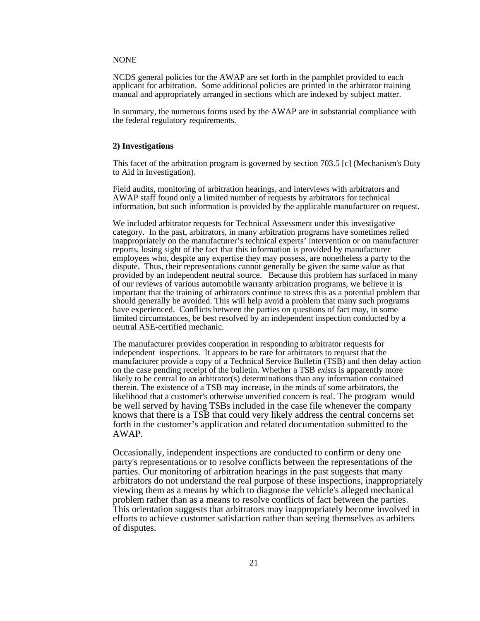#### NONE

NCDS general policies for the AWAP are set forth in the pamphlet provided to each applicant for arbitration. Some additional policies are printed in the arbitrator training manual and appropriately arranged in sections which are indexed by subject matter.

In summary, the numerous forms used by the AWAP are in substantial compliance with the federal regulatory requirements.

#### **2) Investigations**

This facet of the arbitration program is governed by section 703.5 [c] (Mechanism's Duty to Aid in Investigation).

Field audits, monitoring of arbitration hearings, and interviews with arbitrators and AWAP staff found only a limited number of requests by arbitrators for technical information, but such information is provided by the applicable manufacturer on request.

We included arbitrator requests for Technical Assessment under this investigative category. In the past, arbitrators, in many arbitration programs have sometimes relied inappropriately on the manufacturer's technical experts' intervention or on manufacturer reports, losing sight of the fact that this information is provided by manufacturer employees who, despite any expertise they may possess, are nonetheless a party to the dispute. Thus, their representations cannot generally be given the same value as that provided by an independent neutral source. Because this problem has surfaced in many of our reviews of various automobile warranty arbitration programs, we believe it is important that the training of arbitrators continue to stress this as a potential problem that should generally be avoided. This will help avoid a problem that many such programs have experienced. Conflicts between the parties on questions of fact may, in some limited circumstances, be best resolved by an independent inspection conducted by a neutral ASE-certified mechanic.

The manufacturer provides cooperation in responding to arbitrator requests for independent inspections. It appears to be rare for arbitrators to request that the manufacturer provide a copy of a Technical Service Bulletin (TSB) and then delay action on the case pending receipt of the bulletin. Whether a TSB *exists* is apparently more likely to be central to an arbitrator(s) determinations than any information contained therein. The existence of a TSB may increase, in the minds of some arbitrators, the likelihood that a customer's otherwise unverified concern is real. The program would be well served by having TSBs included in the case file whenever the company knows that there is a TSB that could very likely address the central concerns set forth in the customer's application and related documentation submitted to the AWAP.

Occasionally, independent inspections are conducted to confirm or deny one party's representations or to resolve conflicts between the representations of the parties. Our monitoring of arbitration hearings in the past suggests that many arbitrators do not understand the real purpose of these inspections, inappropriately viewing them as a means by which to diagnose the vehicle's alleged mechanical problem rather than as a means to resolve conflicts of fact between the parties. This orientation suggests that arbitrators may inappropriately become involved in efforts to achieve customer satisfaction rather than seeing themselves as arbiters of disputes.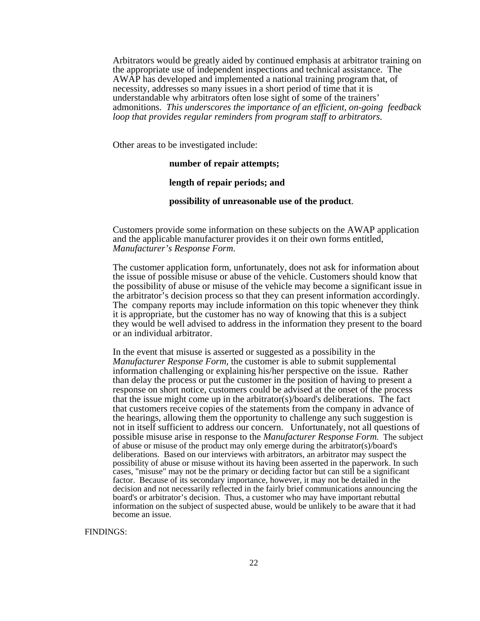Arbitrators would be greatly aided by continued emphasis at arbitrator training on the appropriate use of independent inspections and technical assistance. The AWAP has developed and implemented a national training program that, of necessity, addresses so many issues in a short period of time that it is understandable why arbitrators often lose sight of some of the trainers' admonitions. *This underscores the importance of an efficient, on-going feedback loop that provides regular reminders from program staff to arbitrators.* 

Other areas to be investigated include:

## **number of repair attempts;**

## **length of repair periods; and**

### **possibility of unreasonable use of the product**.

Customers provide some information on these subjects on the AWAP application and the applicable manufacturer provides it on their own forms entitled, *Manufacturer's Response Form*.

The customer application form, unfortunately, does not ask for information about the issue of possible misuse or abuse of the vehicle. Customers should know that the possibility of abuse or misuse of the vehicle may become a significant issue in the arbitrator's decision process so that they can present information accordingly. The company reports may include information on this topic whenever they think it is appropriate, but the customer has no way of knowing that this is a subject they would be well advised to address in the information they present to the board or an individual arbitrator.

 In the event that misuse is asserted or suggested as a possibility in the *Manufacturer Response Form,* the customer is able to submit supplemental information challenging or explaining his/her perspective on the issue. Rather than delay the process or put the customer in the position of having to present a response on short notice, customers could be advised at the onset of the process that the issue might come up in the arbitrator(s)/board's deliberations. The fact that customers receive copies of the statements from the company in advance of the hearings, allowing them the opportunity to challenge any such suggestion is not in itself sufficient to address our concern. Unfortunately, not all questions of possible misuse arise in response to the *Manufacturer Response Form.* The subject of abuse or misuse of the product may only emerge during the arbitrator(s)/board's deliberations. Based on our interviews with arbitrators, an arbitrator may suspect the possibility of abuse or misuse without its having been asserted in the paperwork. In such cases, "misuse" may not be the primary or deciding factor but can still be a significant factor. Because of its secondary importance, however, it may not be detailed in the decision and not necessarily reflected in the fairly brief communications announcing the board's or arbitrator's decision. Thus, a customer who may have important rebuttal information on the subject of suspected abuse, would be unlikely to be aware that it had become an issue.

FINDINGS: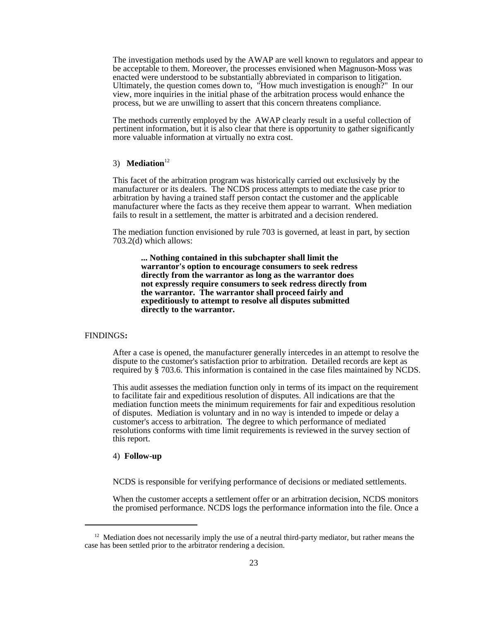The investigation methods used by the AWAP are well known to regulators and appear to be acceptable to them. Moreover, the processes envisioned when Magnuson-Moss was enacted were understood to be substantially abbreviated in comparison to litigation. Ultimately, the question comes down to, "How much investigation is enough?" In our view, more inquiries in the initial phase of the arbitration process would enhance the process, but we are unwilling to assert that this concern threatens compliance.

The methods currently employed by the AWAP clearly result in a useful collection of pertinent information, but it is also clear that there is opportunity to gather significantly more valuable information at virtually no extra cost.

#### 3) **Mediation**<sup>12</sup>

This facet of the arbitration program was historically carried out exclusively by the manufacturer or its dealers. The NCDS process attempts to mediate the case prior to arbitration by having a trained staff person contact the customer and the applicable manufacturer where the facts as they receive them appear to warrant. When mediation fails to result in a settlement, the matter is arbitrated and a decision rendered.

The mediation function envisioned by rule 703 is governed, at least in part, by section 703.2(d) which allows:

**... Nothing contained in this subchapter shall limit the warrantor's option to encourage consumers to seek redress directly from the warrantor as long as the warrantor does not expressly require consumers to seek redress directly from the warrantor. The warrantor shall proceed fairly and expeditiously to attempt to resolve all disputes submitted directly to the warrantor.**

#### FINDINGS**:**

After a case is opened, the manufacturer generally intercedes in an attempt to resolve the dispute to the customer's satisfaction prior to arbitration. Detailed records are kept as required by § 703.6. This information is contained in the case files maintained by NCDS.

 This audit assesses the mediation function only in terms of its impact on the requirement to facilitate fair and expeditious resolution of disputes. All indications are that the mediation function meets the minimum requirements for fair and expeditious resolution of disputes. Mediation is voluntary and in no way is intended to impede or delay a customer's access to arbitration. The degree to which performance of mediated resolutions conforms with time limit requirements is reviewed in the survey section of this report.

#### 4) **Follow-up**

NCDS is responsible for verifying performance of decisions or mediated settlements.

When the customer accepts a settlement offer or an arbitration decision, NCDS monitors the promised performance. NCDS logs the performance information into the file. Once a

 $12$  Mediation does not necessarily imply the use of a neutral third-party mediator, but rather means the case has been settled prior to the arbitrator rendering a decision.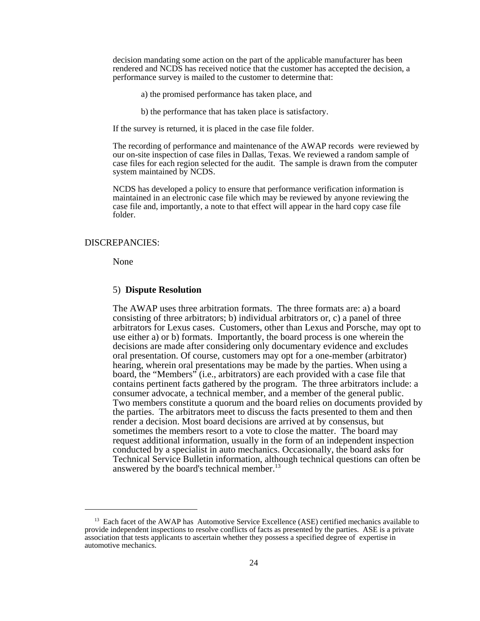decision mandating some action on the part of the applicable manufacturer has been rendered and NCDS has received notice that the customer has accepted the decision, a performance survey is mailed to the customer to determine that:

- a) the promised performance has taken place, and
- b) the performance that has taken place is satisfactory.

If the survey is returned, it is placed in the case file folder.

The recording of performance and maintenance of the AWAP records were reviewed by our on-site inspection of case files in Dallas, Texas. We reviewed a random sample of case files for each region selected for the audit. The sample is drawn from the computer system maintained by NCDS.

NCDS has developed a policy to ensure that performance verification information is maintained in an electronic case file which may be reviewed by anyone reviewing the case file and, importantly, a note to that effect will appear in the hard copy case file folder.

#### DISCREPANCIES:

None

#### 5) **Dispute Resolution**

The AWAP uses three arbitration formats. The three formats are: a) a board consisting of three arbitrators; b) individual arbitrators or, c) a panel of three arbitrators for Lexus cases. Customers, other than Lexus and Porsche, may opt to use either a) or b) formats. Importantly, the board process is one wherein the decisions are made after considering only documentary evidence and excludes oral presentation. Of course, customers may opt for a one-member (arbitrator) hearing, wherein oral presentations may be made by the parties. When using a board, the "Members" (i.e., arbitrators) are each provided with a case file that contains pertinent facts gathered by the program. The three arbitrators include: a consumer advocate, a technical member, and a member of the general public. Two members constitute a quorum and the board relies on documents provided by the parties.The arbitrators meet to discuss the facts presented to them and then render a decision. Most board decisions are arrived at by consensus, but sometimes the members resort to a vote to close the matter. The board may request additional information, usually in the form of an independent inspection conducted by a specialist in auto mechanics. Occasionally, the board asks for Technical Service Bulletin information, although technical questions can often be answered by the board's technical member.<sup>13</sup>

<sup>&</sup>lt;sup>13</sup> Each facet of the AWAP has Automotive Service Excellence (ASE) certified mechanics available to provide independent inspections to resolve conflicts of facts as presented by the parties. ASE is a private association that tests applicants to ascertain whether they possess a specified degree of expertise in automotive mechanics.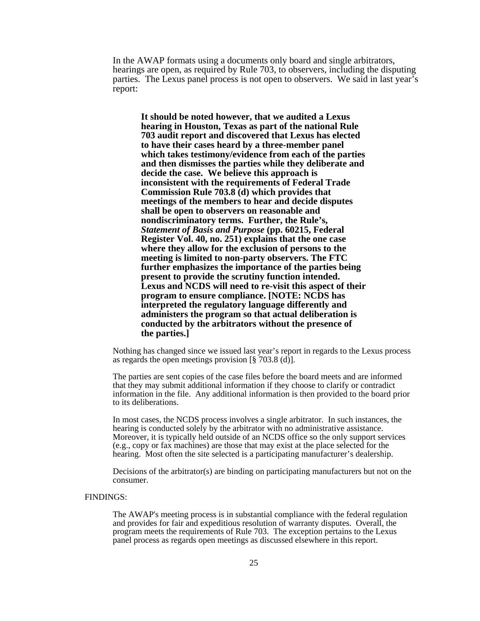In the AWAP formats using a documents only board and single arbitrators, hearings are open, as required by Rule 703, to observers, including the disputing parties. The Lexus panel process is not open to observers. We said in last year's report:

**It should be noted however, that we audited a Lexus hearing in Houston, Texas as part of the national Rule 703 audit report and discovered that Lexus has elected to have their cases heard by a three-member panel which takes testimony/evidence from each of the parties and then dismisses the parties while they deliberate and decide the case. We believe this approach is inconsistent with the requirements of Federal Trade Commission Rule 703.8 (d) which provides that meetings of the members to hear and decide disputes shall be open to observers on reasonable and nondiscriminatory terms. Further, the Rule's,** *Statement of Basis and Purpose* **(pp. 60215, Federal Register Vol. 40, no. 251) explains that the one case where they allow for the exclusion of persons to the meeting is limited to non-party observers. The FTC further emphasizes the importance of the parties being present to provide the scrutiny function intended. Lexus and NCDS will need to re-visit this aspect of their program to ensure compliance. [NOTE: NCDS has interpreted the regulatory language differently and administers the program so that actual deliberation is conducted by the arbitrators without the presence of the parties.]**

Nothing has changed since we issued last year's report in regards to the Lexus process as regards the open meetings provision  $\lbrack \S$  703.8 (d).

The parties are sent copies of the case files before the board meets and are informed that they may submit additional information if they choose to clarify or contradict information in the file. Any additional information is then provided to the board prior to its deliberations.

In most cases, the NCDS process involves a single arbitrator. In such instances, the hearing is conducted solely by the arbitrator with no administrative assistance. Moreover, it is typically held outside of an NCDS office so the only support services (e.g., copy or fax machines) are those that may exist at the place selected for the hearing. Most often the site selected is a participating manufacturer's dealership.

Decisions of the arbitrator(s) are binding on participating manufacturers but not on the consumer.

#### FINDINGS:

The AWAP's meeting process is in substantial compliance with the federal regulation and provides for fair and expeditious resolution of warranty disputes. Overall, the program meets the requirements of Rule 703. The exception pertains to the Lexus panel process as regards open meetings as discussed elsewhere in this report.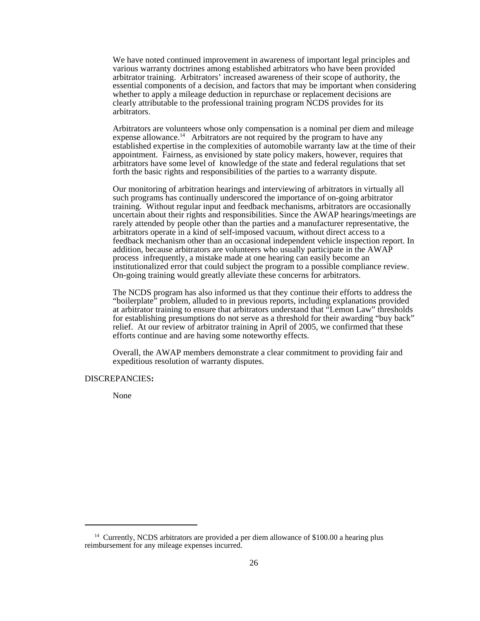We have noted continued improvement in awareness of important legal principles and various warranty doctrines among established arbitrators who have been provided arbitrator training. Arbitrators' increased awareness of their scope of authority, the essential components of a decision, and factors that may be important when considering whether to apply a mileage deduction in repurchase or replacement decisions are clearly attributable to the professional training program NCDS provides for its arbitrators.

Arbitrators are volunteers whose only compensation is a nominal per diem and mileage expense allowance.<sup>14</sup> Arbitrators are not required by the program to have any established expertise in the complexities of automobile warranty law at the time of their appointment. Fairness, as envisioned by state policy makers, however, requires that arbitrators have some level of knowledge of the state and federal regulations that set forth the basic rights and responsibilities of the parties to a warranty dispute.

Our monitoring of arbitration hearings and interviewing of arbitrators in virtually all such programs has continually underscored the importance of on-going arbitrator training. Without regular input and feedback mechanisms, arbitrators are occasionally uncertain about their rights and responsibilities. Since the AWAP hearings/meetings are rarely attended by people other than the parties and a manufacturer representative, the arbitrators operate in a kind of self-imposed vacuum, without direct access to a feedback mechanism other than an occasional independent vehicle inspection report. In addition, because arbitrators are volunteers who usually participate in the AWAP process infrequently, a mistake made at one hearing can easily become an institutionalized error that could subject the program to a possible compliance review. On-going training would greatly alleviate these concerns for arbitrators.

The NCDS program has also informed us that they continue their efforts to address the "boilerplate" problem, alluded to in previous reports, including explanations provided at arbitrator training to ensure that arbitrators understand that "Lemon Law" thresholds for establishing presumptions do not serve as a threshold for their awarding "buy back" relief. At our review of arbitrator training in April of 2005, we confirmed that these efforts continue and are having some noteworthy effects.

Overall, the AWAP members demonstrate a clear commitment to providing fair and expeditious resolution of warranty disputes.

#### DISCREPANCIES**:**

None

<sup>&</sup>lt;sup>14</sup> Currently, NCDS arbitrators are provided a per diem allowance of \$100.00 a hearing plus reimbursement for any mileage expenses incurred.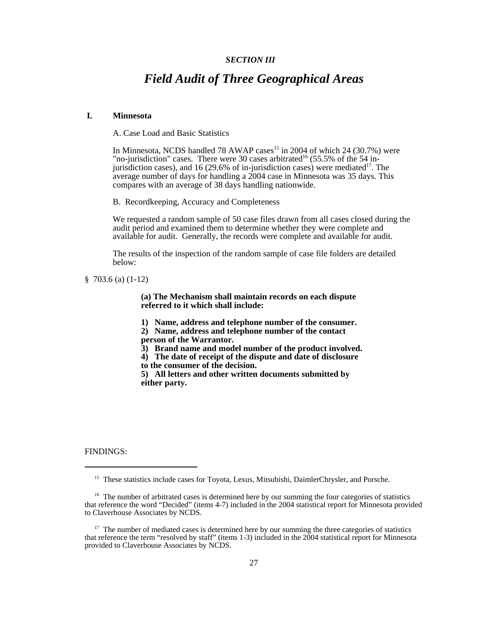#### *SECTION III*

## *Field Audit of Three Geographical Areas*

#### **I. Minnesota**

A. Case Load and Basic Statistics

In Minnesota, NCDS handled 78 AWAP cases<sup>15</sup> in 2004 of which 24 (30.7%) were "no-jurisdiction" cases. There were 30 cases arbitrated<sup>16</sup> (55.5% of the 54 injurisdiction cases), and 16 (29.6% of in-jurisdiction cases) were mediated<sup>17</sup>. The average number of days for handling a 2004 case in Minnesota was 35 days. This compares with an average of 38 days handling nationwide.

B. Recordkeeping, Accuracy and Completeness

We requested a random sample of 50 case files drawn from all cases closed during the audit period and examined them to determine whether they were complete and available for audit. Generally, the records were complete and available for audit.

The results of the inspection of the random sample of case file folders are detailed below:

§ 703.6 (a) (1-12)

**(a) The Mechanism shall maintain records on each dispute referred to it which shall include:**

**1) Name, address and telephone number of the consumer.**

**2) Name, address and telephone number of the contact person of the Warrantor.**

- **3) Brand name and model number of the product involved.**
- **4) The date of receipt of the dispute and date of disclosure**
- **to the consumer of the decision.**

**5) All letters and other written documents submitted by either party.**

FINDINGS:

<sup>&</sup>lt;sup>15</sup> These statistics include cases for Toyota, Lexus, Mitsubishi, DaimlerChrysler, and Porsche.

<sup>&</sup>lt;sup>16</sup> The number of arbitrated cases is determined here by our summing the four categories of statistics that reference the word "Decided" (items 4-7) included in the 2004 statistical report for Minnesota provided to Claverhouse Associates by NCDS.

<sup>&</sup>lt;sup>17</sup> The number of mediated cases is determined here by our summing the three categories of statistics that reference the term "resolved by staff" (items 1-3) included in the 2004 statistical report for Minnesota provided to Claverhouse Associates by NCDS.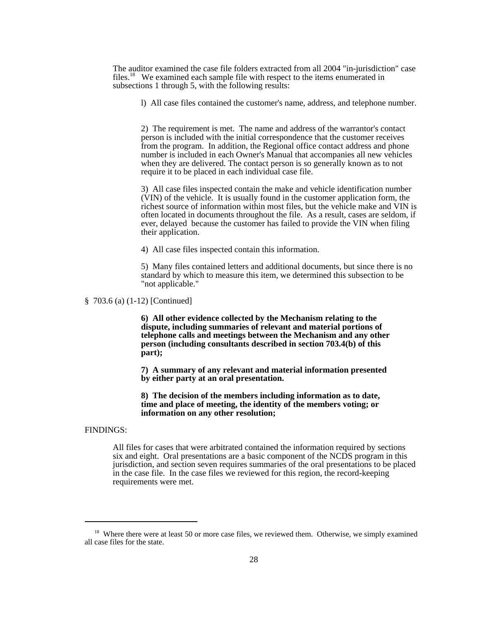The auditor examined the case file folders extracted from all 2004 "in-jurisdiction" case files.<sup>18</sup> We examined each sample file with respect to the items enumerated in subsections 1 through 5, with the following results:

l) All case files contained the customer's name, address, and telephone number.

2) The requirement is met. The name and address of the warrantor's contact person is included with the initial correspondence that the customer receives from the program. In addition, the Regional office contact address and phone number is included in each Owner's Manual that accompanies all new vehicles when they are delivered. The contact person is so generally known as to not require it to be placed in each individual case file.

3) All case files inspected contain the make and vehicle identification number (VIN) of the vehicle. It is usually found in the customer application form, the richest source of information within most files, but the vehicle make and VIN is often located in documents throughout the file. As a result, cases are seldom, if ever, delayed because the customer has failed to provide the VIN when filing their application.

4) All case files inspected contain this information.

5) Many files contained letters and additional documents, but since there is no standard by which to measure this item, we determined this subsection to be "not applicable."

§ 703.6 (a) (1-12) [Continued]

**6) All other evidence collected by the Mechanism relating to the dispute, including summaries of relevant and material portions of telephone calls and meetings between the Mechanism and any other person (including consultants described in section 703.4(b) of this part);**

**7) A summary of any relevant and material information presented by either party at an oral presentation.**

**8) The decision of the members including information as to date, time and place of meeting, the identity of the members voting; or information on any other resolution;**

#### FINDINGS:

All files for cases that were arbitrated contained the information required by sections six and eight. Oral presentations are a basic component of the NCDS program in this jurisdiction, and section seven requires summaries of the oral presentations to be placed in the case file. In the case files we reviewed for this region, the record-keeping requirements were met.

<sup>&</sup>lt;sup>18</sup> Where there were at least 50 or more case files, we reviewed them. Otherwise, we simply examined all case files for the state.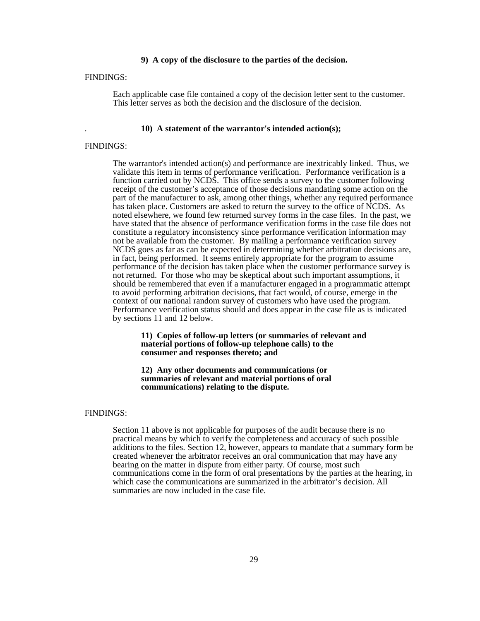#### **9) A copy of the disclosure to the parties of the decision.**

#### FINDINGS:

Each applicable case file contained a copy of the decision letter sent to the customer. This letter serves as both the decision and the disclosure of the decision.

#### . **10) A statement of the warrantor's intended action(s);**

#### FINDINGS:

The warrantor's intended action(s) and performance are inextricably linked. Thus, we validate this item in terms of performance verification. Performance verification is a function carried out by NCDS. This office sends a survey to the customer following receipt of the customer's acceptance of those decisions mandating some action on the part of the manufacturer to ask, among other things, whether any required performance has taken place. Customers are asked to return the survey to the office of NCDS. As noted elsewhere, we found few returned survey forms in the case files. In the past, we have stated that the absence of performance verification forms in the case file does not constitute a regulatory inconsistency since performance verification information may not be available from the customer. By mailing a performance verification survey NCDS goes as far as can be expected in determining whether arbitration decisions are, in fact, being performed. It seems entirely appropriate for the program to assume performance of the decision has taken place when the customer performance survey is not returned. For those who may be skeptical about such important assumptions, it should be remembered that even if a manufacturer engaged in a programmatic attempt to avoid performing arbitration decisions, that fact would, of course, emerge in the context of our national random survey of customers who have used the program. Performance verification status should and does appear in the case file as is indicated by sections 11 and 12 below.

#### **11) Copies of follow-up letters (or summaries of relevant and material portions of follow-up telephone calls) to the consumer and responses thereto; and**

#### **12) Any other documents and communications (or summaries of relevant and material portions of oral communications) relating to the dispute.**

#### FINDINGS:

Section 11 above is not applicable for purposes of the audit because there is no practical means by which to verify the completeness and accuracy of such possible additions to the files. Section 12, however, appears to mandate that a summary form be created whenever the arbitrator receives an oral communication that may have any bearing on the matter in dispute from either party. Of course, most such communications come in the form of oral presentations by the parties at the hearing, in which case the communications are summarized in the arbitrator's decision. All summaries are now included in the case file.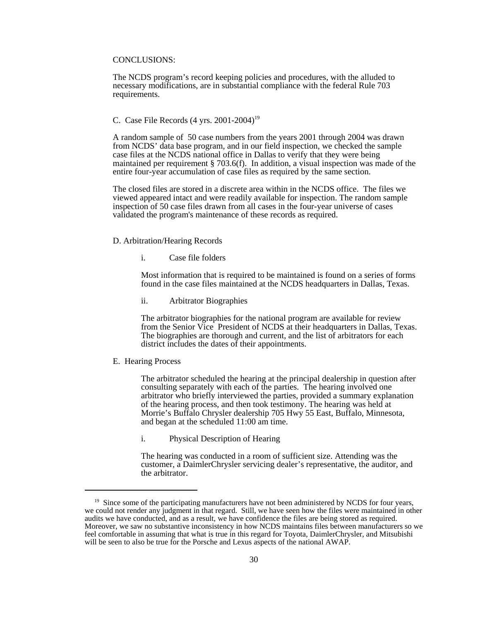#### CONCLUSIONS:

The NCDS program's record keeping policies and procedures, with the alluded to necessary modifications, are in substantial compliance with the federal Rule 703 requirements.

#### C. Case File Records (4 yrs. 2001-2004)19

A random sample of 50 case numbers from the years 2001 through 2004 was drawn from NCDS' data base program, and in our field inspection, we checked the sample case files at the NCDS national office in Dallas to verify that they were being maintained per requirement § 703.6(f). In addition, a visual inspection was made of the entire four-year accumulation of case files as required by the same section.

The closed files are stored in a discrete area within in the NCDS office. The files we viewed appeared intact and were readily available for inspection. The random sample inspection of 50 case files drawn from all cases in the four-year universe of cases validated the program's maintenance of these records as required.

#### D. Arbitration/Hearing Records

i. Case file folders

Most information that is required to be maintained is found on a series of forms found in the case files maintained at the NCDS headquarters in Dallas, Texas.

ii. Arbitrator Biographies

The arbitrator biographies for the national program are available for review from the Senior Vice President of NCDS at their headquarters in Dallas, Texas. The biographies are thorough and current, and the list of arbitrators for each district includes the dates of their appointments.

#### E. Hearing Process

The arbitrator scheduled the hearing at the principal dealership in question after consulting separately with each of the parties. The hearing involved one arbitrator who briefly interviewed the parties, provided a summary explanation of the hearing process, and then took testimony. The hearing was held at Morrie's Buffalo Chrysler dealership 705 Hwy 55 East, Buffalo, Minnesota, and began at the scheduled 11:00 am time.

i. Physical Description of Hearing

The hearing was conducted in a room of sufficient size. Attending was the customer, a DaimlerChrysler servicing dealer's representative, the auditor, and the arbitrator.

 $19$  Since some of the participating manufacturers have not been administered by NCDS for four years, we could not render any judgment in that regard. Still, we have seen how the files were maintained in other audits we have conducted, and as a result, we have confidence the files are being stored as required. Moreover, we saw no substantive inconsistency in how NCDS maintains files between manufacturers so we feel comfortable in assuming that what is true in this regard for Toyota, DaimlerChrysler, and Mitsubishi will be seen to also be true for the Porsche and Lexus aspects of the national AWAP.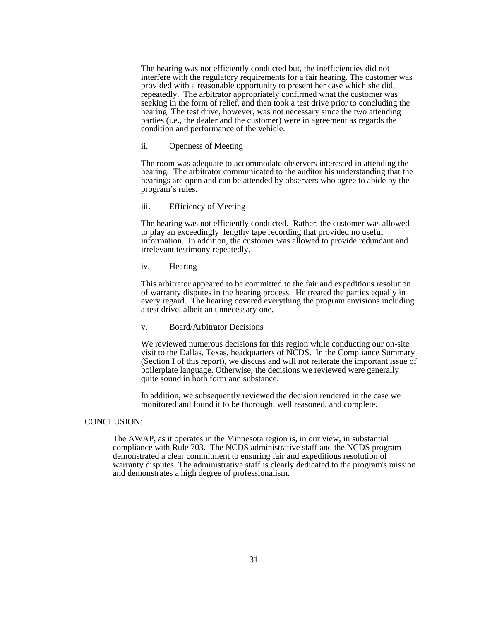The hearing was not efficiently conducted but, the inefficiencies did not interfere with the regulatory requirements for a fair hearing. The customer was provided with a reasonable opportunity to present her case which she did, repeatedly. The arbitrator appropriately confirmed what the customer was seeking in the form of relief, and then took a test drive prior to concluding the hearing. The test drive, however, was not necessary since the two attending parties (i.e., the dealer and the customer) were in agreement as regards the condition and performance of the vehicle.

#### ii. Openness of Meeting

The room was adequate to accommodate observers interested in attending the hearing. The arbitrator communicated to the auditor his understanding that the hearings are open and can be attended by observers who agree to abide by the program's rules.

#### iii. Efficiency of Meeting

The hearing was not efficiently conducted. Rather, the customer was allowed to play an exceedingly lengthy tape recording that provided no useful information. In addition, the customer was allowed to provide redundant and irrelevant testimony repeatedly.

#### iv. Hearing

This arbitrator appeared to be committed to the fair and expeditious resolution of warranty disputes in the hearing process. He treated the parties equally in every regard. The hearing covered everything the program envisions including a test drive, albeit an unnecessary one.

#### v. Board/Arbitrator Decisions

We reviewed numerous decisions for this region while conducting our on-site visit to the Dallas, Texas, headquarters of NCDS. In the Compliance Summary (Section I of this report), we discuss and will not reiterate the important issue of boilerplate language. Otherwise, the decisions we reviewed were generally quite sound in both form and substance.

In addition, we subsequently reviewed the decision rendered in the case we monitored and found it to be thorough, well reasoned, and complete.

#### CONCLUSION:

The AWAP, as it operates in the Minnesota region is, in our view, in substantial compliance with Rule 703. The NCDS administrative staff and the NCDS program demonstrated a clear commitment to ensuring fair and expeditious resolution of warranty disputes. The administrative staff is clearly dedicated to the program's mission and demonstrates a high degree of professionalism.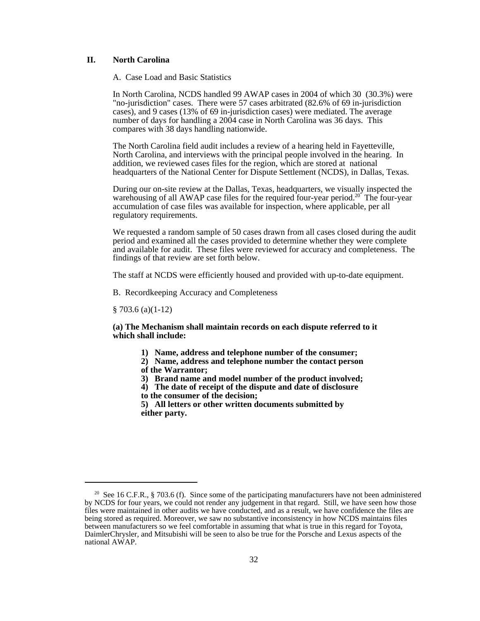#### **II. North Carolina**

A. Case Load and Basic Statistics

In North Carolina, NCDS handled 99 AWAP cases in 2004 of which 30 (30.3%) were "no-jurisdiction" cases. There were 57 cases arbitrated (82.6% of 69 in-jurisdiction cases), and 9 cases (13% of 69 in-jurisdiction cases) were mediated. The average number of days for handling a 2004 case in North Carolina was 36 days. This compares with 38 days handling nationwide.

The North Carolina field audit includes a review of a hearing held in Fayetteville, North Carolina, and interviews with the principal people involved in the hearing. In addition, we reviewed cases files for the region, which are stored at national headquarters of the National Center for Dispute Settlement (NCDS), in Dallas, Texas.

During our on-site review at the Dallas, Texas, headquarters, we visually inspected the warehousing of all AWAP case files for the required four-year period.<sup>20</sup> The four-year accumulation of case files was available for inspection, where applicable, per all regulatory requirements.

We requested a random sample of 50 cases drawn from all cases closed during the audit period and examined all the cases provided to determine whether they were complete and available for audit. These files were reviewed for accuracy and completeness. The findings of that review are set forth below.

The staff at NCDS were efficiently housed and provided with up-to-date equipment.

B. Recordkeeping Accuracy and Completeness

§ 703.6 (a)(1-12)

**(a) The Mechanism shall maintain records on each dispute referred to it which shall include:**

- **1) Name, address and telephone number of the consumer;**
- **2) Name, address and telephone number the contact person of the Warrantor;**
- **3) Brand name and model number of the product involved;**
- **4) The date of receipt of the dispute and date of disclosure**
- **to the consumer of the decision;**

**5) All letters or other written documents submitted by either party.**

<sup>&</sup>lt;sup>20</sup> See 16 C.F.R., § 703.6 (f). Since some of the participating manufacturers have not been administered by NCDS for four years, we could not render any judgement in that regard. Still, we have seen how those files were maintained in other audits we have conducted, and as a result, we have confidence the files are being stored as required. Moreover, we saw no substantive inconsistency in how NCDS maintains files between manufacturers so we feel comfortable in assuming that what is true in this regard for Toyota, DaimlerChrysler, and Mitsubishi will be seen to also be true for the Porsche and Lexus aspects of the national AWAP.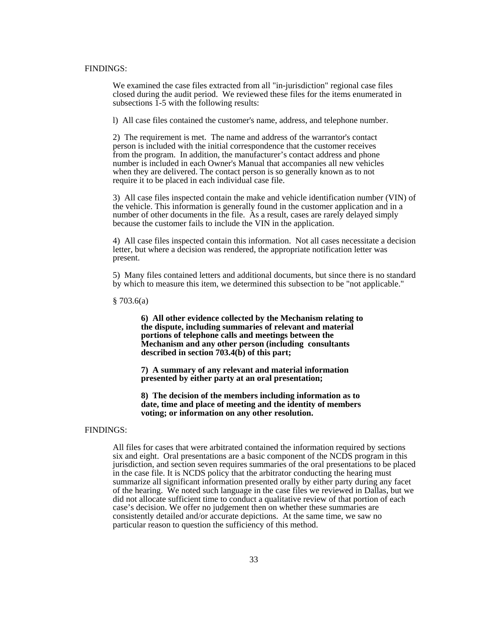#### FINDINGS:

We examined the case files extracted from all "in-jurisdiction" regional case files closed during the audit period. We reviewed these files for the items enumerated in subsections  $\overline{1}$ -5 with the following results:

l) All case files contained the customer's name, address, and telephone number. 2) The requirement is met. The name and address of the warrantor's contact

person is included with the initial correspondence that the customer receives from the program. In addition, the manufacturer's contact address and phone number is included in each Owner's Manual that accompanies all new vehicles when they are delivered. The contact person is so generally known as to not require it to be placed in each individual case file.

3) All case files inspected contain the make and vehicle identification number (VIN) of the vehicle. This information is generally found in the customer application and in a number of other documents in the file. As a result, cases are rarely delayed simply because the customer fails to include the VIN in the application.

4) All case files inspected contain this information. Not all cases necessitate a decision letter, but where a decision was rendered, the appropriate notification letter was present.

5) Many files contained letters and additional documents, but since there is no standard by which to measure this item, we determined this subsection to be "not applicable."

 $§ 703.6(a)$ 

**6) All other evidence collected by the Mechanism relating to the dispute, including summaries of relevant and material portions of telephone calls and meetings between the Mechanism and any other person (including consultants described in section 703.4(b) of this part;**

**7) A summary of any relevant and material information presented by either party at an oral presentation;**

**8) The decision of the members including information as to date, time and place of meeting and the identity of members voting; or information on any other resolution.**

#### FINDINGS:

All files for cases that were arbitrated contained the information required by sections six and eight. Oral presentations are a basic component of the NCDS program in this jurisdiction, and section seven requires summaries of the oral presentations to be placed in the case file. It is NCDS policy that the arbitrator conducting the hearing must summarize all significant information presented orally by either party during any facet of the hearing. We noted such language in the case files we reviewed in Dallas, but we did not allocate sufficient time to conduct a qualitative review of that portion of each case's decision. We offer no judgement then on whether these summaries are consistently detailed and/or accurate depictions. At the same time, we saw no particular reason to question the sufficiency of this method.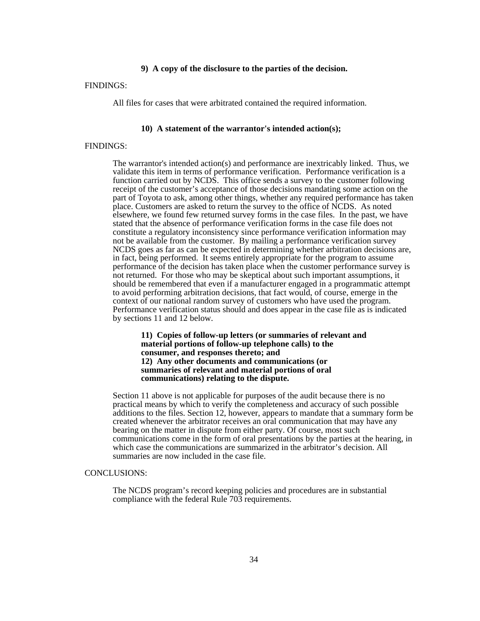#### **9) A copy of the disclosure to the parties of the decision.**

## FINDINGS:

All files for cases that were arbitrated contained the required information.

### **10) A statement of the warrantor's intended action(s);**

#### FINDINGS:

The warrantor's intended action(s) and performance are inextricably linked. Thus, we validate this item in terms of performance verification. Performance verification is a function carried out by NCDS. This office sends a survey to the customer following receipt of the customer's acceptance of those decisions mandating some action on the part of Toyota to ask, among other things, whether any required performance has taken place. Customers are asked to return the survey to the office of NCDS. As noted elsewhere, we found few returned survey forms in the case files. In the past, we have stated that the absence of performance verification forms in the case file does not constitute a regulatory inconsistency since performance verification information may not be available from the customer. By mailing a performance verification survey NCDS goes as far as can be expected in determining whether arbitration decisions are, in fact, being performed. It seems entirely appropriate for the program to assume performance of the decision has taken place when the customer performance survey is not returned. For those who may be skeptical about such important assumptions, it should be remembered that even if a manufacturer engaged in a programmatic attempt to avoid performing arbitration decisions, that fact would, of course, emerge in the context of our national random survey of customers who have used the program. Performance verification status should and does appear in the case file as is indicated by sections 11 and 12 below.

**11) Copies of follow-up letters (or summaries of relevant and material portions of follow-up telephone calls) to the consumer, and responses thereto; and 12) Any other documents and communications (or summaries of relevant and material portions of oral communications) relating to the dispute.**

Section 11 above is not applicable for purposes of the audit because there is no practical means by which to verify the completeness and accuracy of such possible additions to the files. Section 12, however, appears to mandate that a summary form be created whenever the arbitrator receives an oral communication that may have any bearing on the matter in dispute from either party. Of course, most such communications come in the form of oral presentations by the parties at the hearing, in which case the communications are summarized in the arbitrator's decision. All summaries are now included in the case file.

#### CONCLUSIONS:

The NCDS program's record keeping policies and procedures are in substantial compliance with the federal Rule 703 requirements.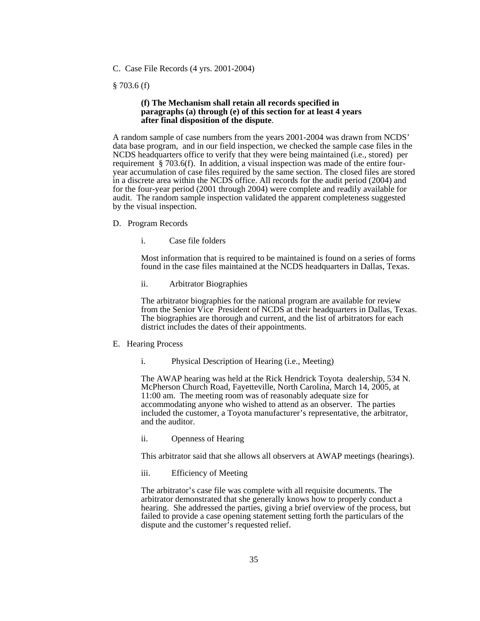C. Case File Records (4 yrs. 2001-2004)

### § 703.6 (f)

#### **(f) The Mechanism shall retain all records specified in paragraphs (a) through (e) of this section for at least 4 years after final disposition of the dispute**.

A random sample of case numbers from the years 2001-2004 was drawn from NCDS' data base program, and in our field inspection, we checked the sample case files in the NCDS headquarters office to verify that they were being maintained (i.e., stored) per requirement § 703.6(f). In addition, a visual inspection was made of the entire fouryear accumulation of case files required by the same section. The closed files are stored in a discrete area within the NCDS office. All records for the audit period (2004) and for the four-year period (2001 through 2004) were complete and readily available for audit. The random sample inspection validated the apparent completeness suggested by the visual inspection.

- D. Program Records
	- i. Case file folders

Most information that is required to be maintained is found on a series of forms found in the case files maintained at the NCDS headquarters in Dallas, Texas.

ii. Arbitrator Biographies

The arbitrator biographies for the national program are available for review from the Senior Vice President of NCDS at their headquarters in Dallas, Texas. The biographies are thorough and current, and the list of arbitrators for each district includes the dates of their appointments.

- E. Hearing Process
	- i. Physical Description of Hearing (i.e., Meeting)

The AWAP hearing was held at the Rick Hendrick Toyota dealership, 534 N. McPherson Church Road, Fayetteville, North Carolina, March 14, 2005, at 11:00 am. The meeting room was of reasonably adequate size for accommodating anyone who wished to attend as an observer. The parties included the customer, a Toyota manufacturer's representative, the arbitrator, and the auditor.

ii. Openness of Hearing

This arbitrator said that she allows all observers at AWAP meetings (hearings).

iii. Efficiency of Meeting

The arbitrator's case file was complete with all requisite documents. The arbitrator demonstrated that she generally knows how to properly conduct a hearing. She addressed the parties, giving a brief overview of the process, but failed to provide a case opening statement setting forth the particulars of the dispute and the customer's requested relief.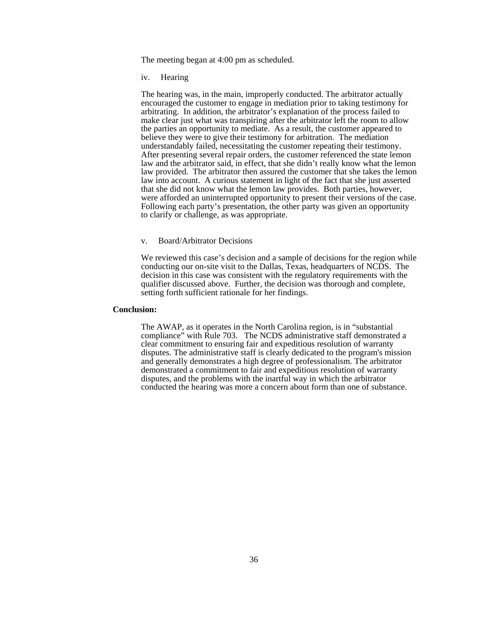The meeting began at 4:00 pm as scheduled.

iv. Hearing

The hearing was, in the main, improperly conducted. The arbitrator actually encouraged the customer to engage in mediation prior to taking testimony for arbitrating. In addition, the arbitrator's explanation of the process failed to make clear just what was transpiring after the arbitrator left the room to allow the parties an opportunity to mediate. As a result, the customer appeared to believe they were to give their testimony for arbitration. The mediation understandably failed, necessitating the customer repeating their testimony. After presenting several repair orders, the customer referenced the state lemon law and the arbitrator said, in effect, that she didn't really know what the lemon law provided. The arbitrator then assured the customer that she takes the lemon law into account. A curious statement in light of the fact that she just asserted that she did not know what the lemon law provides. Both parties, however, were afforded an uninterrupted opportunity to present their versions of the case. Following each party's presentation, the other party was given an opportunity to clarify or challenge, as was appropriate.

#### v. Board/Arbitrator Decisions

We reviewed this case's decision and a sample of decisions for the region while conducting our on-site visit to the Dallas, Texas, headquarters of NCDS. The decision in this case was consistent with the regulatory requirements with the qualifier discussed above. Further, the decision was thorough and complete, setting forth sufficient rationale for her findings.

#### **Conclusion:**

The AWAP, as it operates in the North Carolina region, is in "substantial compliance" with Rule 703. The NCDS administrative staff demonstrated a clear commitment to ensuring fair and expeditious resolution of warranty disputes. The administrative staff is clearly dedicated to the program's mission and generally demonstrates a high degree of professionalism. The arbitrator demonstrated a commitment to fair and expeditious resolution of warranty disputes, and the problems with the inartful way in which the arbitrator conducted the hearing was more a concern about form than one of substance.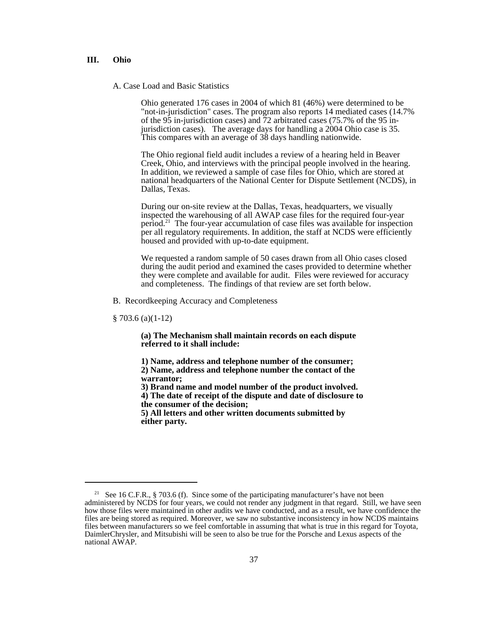#### **III. Ohio**

A. Case Load and Basic Statistics

Ohio generated 176 cases in 2004 of which 81 (46%) were determined to be "not-in-jurisdiction" cases. The program also reports 14 mediated cases (14.7% of the 95 in-jurisdiction cases) and 72 arbitrated cases (75.7% of the 95 injurisdiction cases). The average days for handling a 2004 Ohio case is 35. This compares with an average of 38 days handling nationwide.

The Ohio regional field audit includes a review of a hearing held in Beaver Creek, Ohio, and interviews with the principal people involved in the hearing. In addition, we reviewed a sample of case files for Ohio, which are stored at national headquarters of the National Center for Dispute Settlement (NCDS), in Dallas, Texas.

During our on-site review at the Dallas, Texas, headquarters, we visually inspected the warehousing of all AWAP case files for the required four-year period.21 The four-year accumulation of case files was available for inspection per all regulatory requirements. In addition, the staff at NCDS were efficiently housed and provided with up-to-date equipment.

We requested a random sample of 50 cases drawn from all Ohio cases closed during the audit period and examined the cases provided to determine whether they were complete and available for audit. Files were reviewed for accuracy and completeness. The findings of that review are set forth below.

B. Recordkeeping Accuracy and Completeness

§ 703.6 (a)(1-12)

**(a) The Mechanism shall maintain records on each dispute referred to it shall include:**

**1) Name, address and telephone number of the consumer; 2) Name, address and telephone number the contact of the warrantor;**

**3) Brand name and model number of the product involved.**

**4) The date of receipt of the dispute and date of disclosure to the consumer of the decision;**

**5) All letters and other written documents submitted by either party.**

<sup>&</sup>lt;sup>21</sup> See 16 C.F.R., § 703.6 (f). Since some of the participating manufacturer's have not been administered by NCDS for four years, we could not render any judgment in that regard. Still, we have seen how those files were maintained in other audits we have conducted, and as a result, we have confidence the files are being stored as required. Moreover, we saw no substantive inconsistency in how NCDS maintains files between manufacturers so we feel comfortable in assuming that what is true in this regard for Toyota, DaimlerChrysler, and Mitsubishi will be seen to also be true for the Porsche and Lexus aspects of the national AWAP.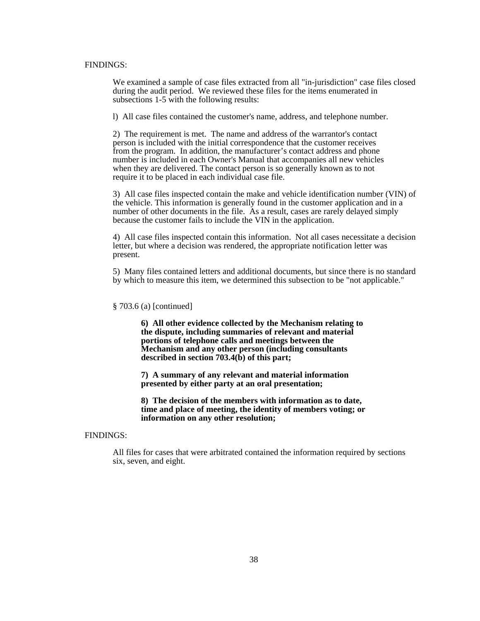#### FINDINGS:

We examined a sample of case files extracted from all "in-jurisdiction" case files closed during the audit period. We reviewed these files for the items enumerated in subsections 1-5 with the following results:

l) All case files contained the customer's name, address, and telephone number.

2) The requirement is met. The name and address of the warrantor's contact person is included with the initial correspondence that the customer receives from the program. In addition, the manufacturer's contact address and phone number is included in each Owner's Manual that accompanies all new vehicles when they are delivered. The contact person is so generally known as to not require it to be placed in each individual case file.

3) All case files inspected contain the make and vehicle identification number (VIN) of the vehicle. This information is generally found in the customer application and in a number of other documents in the file. As a result, cases are rarely delayed simply because the customer fails to include the VIN in the application.

4) All case files inspected contain this information. Not all cases necessitate a decision letter, but where a decision was rendered, the appropriate notification letter was present.

5) Many files contained letters and additional documents, but since there is no standard by which to measure this item, we determined this subsection to be "not applicable."

#### § 703.6 (a) [continued]

**6) All other evidence collected by the Mechanism relating to the dispute, including summaries of relevant and material portions of telephone calls and meetings between the Mechanism and any other person (including consultants described in section 703.4(b) of this part;**

**7) A summary of any relevant and material information presented by either party at an oral presentation;**

**8) The decision of the members with information as to date, time and place of meeting, the identity of members voting; or information on any other resolution;**

## FINDINGS:

All files for cases that were arbitrated contained the information required by sections six, seven, and eight.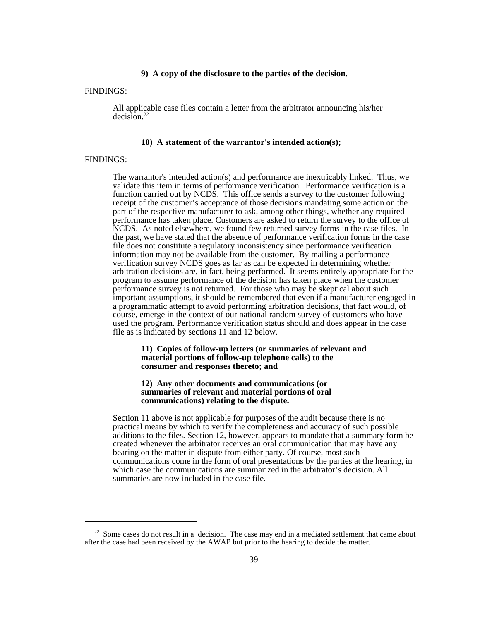#### **9) A copy of the disclosure to the parties of the decision.**

#### FINDINGS:

All applicable case files contain a letter from the arbitrator announcing his/her  $deci\hat{sin}^2$ 

#### **10) A statement of the warrantor's intended action(s);**

#### FINDINGS:

The warrantor's intended action(s) and performance are inextricably linked. Thus, we validate this item in terms of performance verification. Performance verification is a function carried out by NCDS. This office sends a survey to the customer following receipt of the customer's acceptance of those decisions mandating some action on the part of the respective manufacturer to ask, among other things, whether any required performance has taken place. Customers are asked to return the survey to the office of NCDS. As noted elsewhere, we found few returned survey forms in the case files. In the past, we have stated that the absence of performance verification forms in the case file does not constitute a regulatory inconsistency since performance verification information may not be available from the customer. By mailing a performance verification survey NCDS goes as far as can be expected in determining whether arbitration decisions are, in fact, being performed. It seems entirely appropriate for the program to assume performance of the decision has taken place when the customer performance survey is not returned. For those who may be skeptical about such important assumptions, it should be remembered that even if a manufacturer engaged in a programmatic attempt to avoid performing arbitration decisions, that fact would, of course, emerge in the context of our national random survey of customers who have used the program. Performance verification status should and does appear in the case file as is indicated by sections 11 and 12 below.

#### **11) Copies of follow-up letters (or summaries of relevant and material portions of follow-up telephone calls) to the consumer and responses thereto; and**

#### **12) Any other documents and communications (or summaries of relevant and material portions of oral communications) relating to the dispute.**

Section 11 above is not applicable for purposes of the audit because there is no practical means by which to verify the completeness and accuracy of such possible additions to the files. Section 12, however, appears to mandate that a summary form be created whenever the arbitrator receives an oral communication that may have any bearing on the matter in dispute from either party. Of course, most such communications come in the form of oral presentations by the parties at the hearing, in which case the communications are summarized in the arbitrator's decision. All summaries are now included in the case file.

 $22$  Some cases do not result in a decision. The case may end in a mediated settlement that came about after the case had been received by the AWAP but prior to the hearing to decide the matter.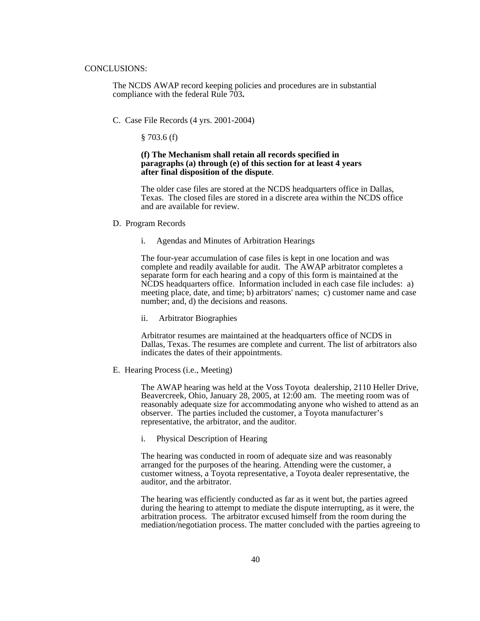#### CONCLUSIONS:

The NCDS AWAP record keeping policies and procedures are in substantial compliance with the federal Rule 703**.**

C. Case File Records (4 yrs. 2001-2004)

§ 703.6 (f)

#### **(f) The Mechanism shall retain all records specified in paragraphs (a) through (e) of this section for at least 4 years after final disposition of the dispute**.

The older case files are stored at the NCDS headquarters office in Dallas, Texas. The closed files are stored in a discrete area within the NCDS office and are available for review.

- D. Program Records
	- i. Agendas and Minutes of Arbitration Hearings

The four-year accumulation of case files is kept in one location and was complete and readily available for audit. The AWAP arbitrator completes a separate form for each hearing and a copy of this form is maintained at the NCDS headquarters office. Information included in each case file includes: a) meeting place, date, and time; b) arbitrators' names; c) customer name and case number; and, d) the decisions and reasons.

ii. Arbitrator Biographies

Arbitrator resumes are maintained at the headquarters office of NCDS in Dallas, Texas. The resumes are complete and current. The list of arbitrators also indicates the dates of their appointments.

E. Hearing Process (i.e., Meeting)

The AWAP hearing was held at the Voss Toyota dealership, 2110 Heller Drive, Beavercreek, Ohio, January 28, 2005, at 12:00 am. The meeting room was of reasonably adequate size for accommodating anyone who wished to attend as an observer. The parties included the customer, a Toyota manufacturer's representative, the arbitrator, and the auditor.

i. Physical Description of Hearing

The hearing was conducted in room of adequate size and was reasonably arranged for the purposes of the hearing. Attending were the customer, a customer witness, a Toyota representative, a Toyota dealer representative, the auditor, and the arbitrator.

The hearing was efficiently conducted as far as it went but, the parties agreed during the hearing to attempt to mediate the dispute interrupting, as it were, the arbitration process. The arbitrator excused himself from the room during the mediation/negotiation process. The matter concluded with the parties agreeing to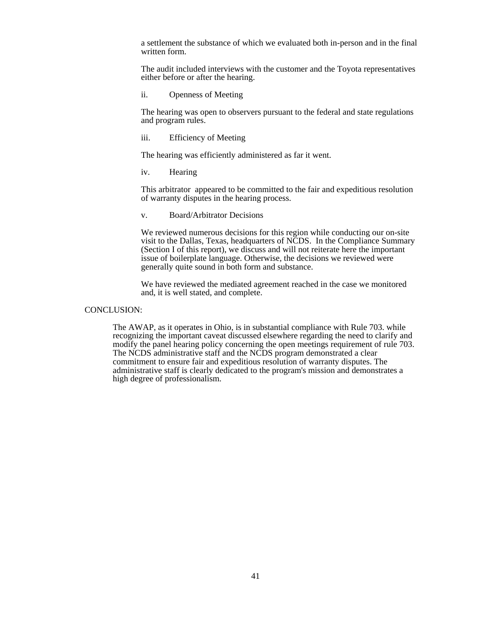a settlement the substance of which we evaluated both in-person and in the final written form.

The audit included interviews with the customer and the Toyota representatives either before or after the hearing.

ii. Openness of Meeting

The hearing was open to observers pursuant to the federal and state regulations and program rules.

### iii. Efficiency of Meeting

The hearing was efficiently administered as far it went.

iv. Hearing

This arbitrator appeared to be committed to the fair and expeditious resolution of warranty disputes in the hearing process.

#### v. Board/Arbitrator Decisions

We reviewed numerous decisions for this region while conducting our on-site visit to the Dallas, Texas, headquarters of NCDS. In the Compliance Summary (Section I of this report), we discuss and will not reiterate here the important issue of boilerplate language. Otherwise, the decisions we reviewed were generally quite sound in both form and substance.

We have reviewed the mediated agreement reached in the case we monitored and, it is well stated, and complete.

#### CONCLUSION:

The AWAP, as it operates in Ohio, is in substantial compliance with Rule 703. while recognizing the important caveat discussed elsewhere regarding the need to clarify and modify the panel hearing policy concerning the open meetings requirement of rule 703. The NCDS administrative staff and the NCDS program demonstrated a clear commitment to ensure fair and expeditious resolution of warranty disputes. The administrative staff is clearly dedicated to the program's mission and demonstrates a high degree of professionalism.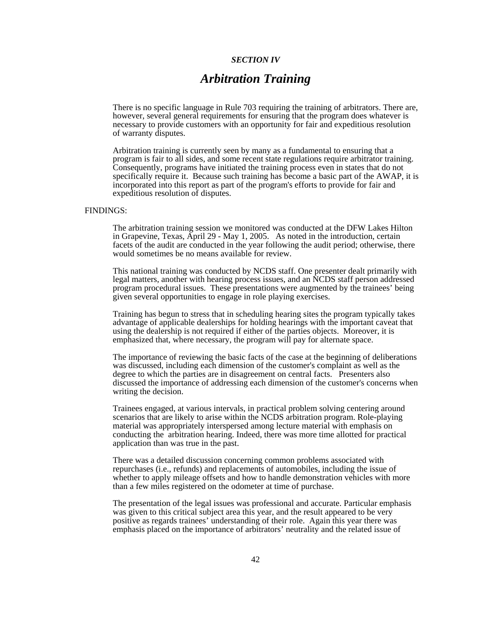#### *SECTION IV*

## *Arbitration Training*

There is no specific language in Rule 703 requiring the training of arbitrators. There are, however, several general requirements for ensuring that the program does whatever is necessary to provide customers with an opportunity for fair and expeditious resolution of warranty disputes.

Arbitration training is currently seen by many as a fundamental to ensuring that a program is fair to all sides, and some recent state regulations require arbitrator training. Consequently, programs have initiated the training process even in states that do not specifically require it. Because such training has become a basic part of the AWAP, it is incorporated into this report as part of the program's efforts to provide for fair and expeditious resolution of disputes.

#### FINDINGS:

The arbitration training session we monitored was conducted at the DFW Lakes Hilton in Grapevine, Texas, April 29 - May 1, 2005. As noted in the introduction, certain facets of the audit are conducted in the year following the audit period; otherwise, there would sometimes be no means available for review.

This national training was conducted by NCDS staff. One presenter dealt primarily with legal matters, another with hearing process issues, and an NCDS staff person addressed program procedural issues. These presentations were augmented by the trainees' being given several opportunities to engage in role playing exercises.

Training has begun to stress that in scheduling hearing sites the program typically takes advantage of applicable dealerships for holding hearings with the important caveat that using the dealership is not required if either of the parties objects. Moreover, it is emphasized that, where necessary, the program will pay for alternate space.

The importance of reviewing the basic facts of the case at the beginning of deliberations was discussed, including each dimension of the customer's complaint as well as the degree to which the parties are in disagreement on central facts. Presenters also discussed the importance of addressing each dimension of the customer's concerns when writing the decision.

Trainees engaged, at various intervals, in practical problem solving centering around scenarios that are likely to arise within the NCDS arbitration program. Role-playing material was appropriately interspersed among lecture material with emphasis on conducting the arbitration hearing. Indeed, there was more time allotted for practical application than was true in the past.

There was a detailed discussion concerning common problems associated with repurchases (i.e., refunds) and replacements of automobiles, including the issue of whether to apply mileage offsets and how to handle demonstration vehicles with more than a few miles registered on the odometer at time of purchase.

The presentation of the legal issues was professional and accurate. Particular emphasis was given to this critical subject area this year, and the result appeared to be very positive as regards trainees' understanding of their role. Again this year there was emphasis placed on the importance of arbitrators' neutrality and the related issue of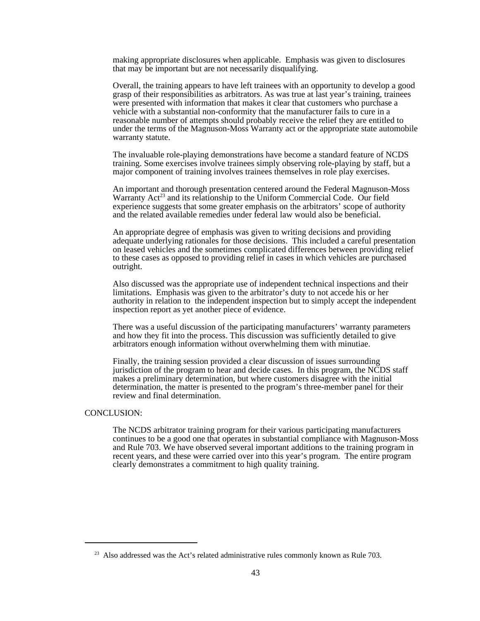making appropriate disclosures when applicable. Emphasis was given to disclosures that may be important but are not necessarily disqualifying.

Overall, the training appears to have left trainees with an opportunity to develop a good grasp of their responsibilities as arbitrators. As was true at last year's training, trainees were presented with information that makes it clear that customers who purchase a vehicle with a substantial non-conformity that the manufacturer fails to cure in a reasonable number of attempts should probably receive the relief they are entitled to under the terms of the Magnuson-Moss Warranty act or the appropriate state automobile warranty statute.

The invaluable role-playing demonstrations have become a standard feature of NCDS training. Some exercises involve trainees simply observing role-playing by staff, but a major component of training involves trainees themselves in role play exercises.

An important and thorough presentation centered around the Federal Magnuson-Moss Warranty  $Act^{23}$  and its relationship to the Uniform Commercial Code. Our field experience suggests that some greater emphasis on the arbitrators' scope of authority and the related available remedies under federal law would also be beneficial.

An appropriate degree of emphasis was given to writing decisions and providing adequate underlying rationales for those decisions. This included a careful presentation on leased vehicles and the sometimes complicated differences between providing relief to these cases as opposed to providing relief in cases in which vehicles are purchased outright.

Also discussed was the appropriate use of independent technical inspections and their limitations. Emphasis was given to the arbitrator's duty to not accede his or her authority in relation to the independent inspection but to simply accept the independent inspection report as yet another piece of evidence.

There was a useful discussion of the participating manufacturers' warranty parameters and how they fit into the process. This discussion was sufficiently detailed to give arbitrators enough information without overwhelming them with minutiae.

Finally, the training session provided a clear discussion of issues surrounding jurisdiction of the program to hear and decide cases. In this program, the NCDS staff makes a preliminary determination, but where customers disagree with the initial determination, the matter is presented to the program's three-member panel for their review and final determination.

#### CONCLUSION:

The NCDS arbitrator training program for their various participating manufacturers continues to be a good one that operates in substantial compliance with Magnuson-Moss and Rule 703. We have observed several important additions to the training program in recent years, and these were carried over into this year's program. The entire program clearly demonstrates a commitment to high quality training.

 $23$  Also addressed was the Act's related administrative rules commonly known as Rule 703.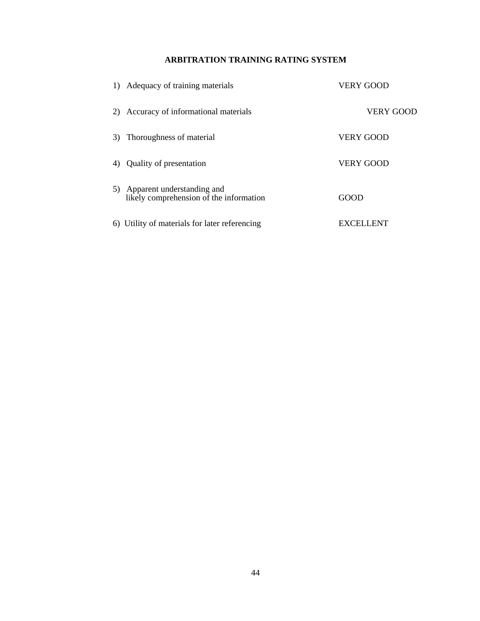## **ARBITRATION TRAINING RATING SYSTEM**

|    | Adequacy of training materials                                           | <b>VERY GOOD</b> |
|----|--------------------------------------------------------------------------|------------------|
| 2) | Accuracy of informational materials                                      | <b>VERY GOOD</b> |
| 3) | Thoroughness of material                                                 | <b>VERY GOOD</b> |
| 4) | Quality of presentation                                                  | <b>VERY GOOD</b> |
|    | 5) Apparent understanding and<br>likely comprehension of the information | GOOD             |
|    | 6) Utility of materials for later referencing                            | EXCELLENT        |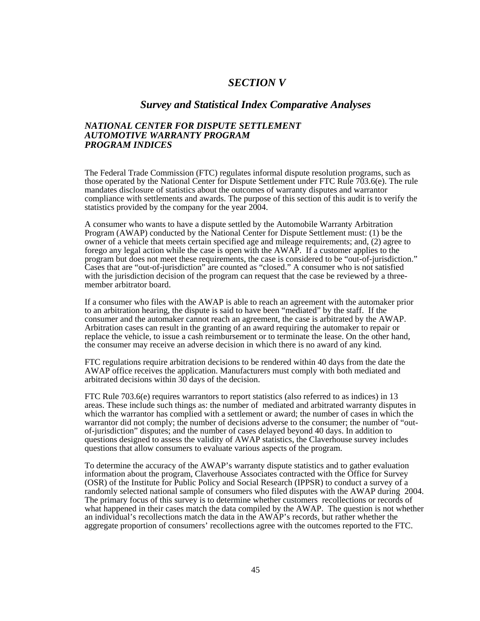## *SECTION V*

## *Survey and Statistical Index Comparative Analyses*

## *NATIONAL CENTER FOR DISPUTE SETTLEMENT AUTOMOTIVE WARRANTY PROGRAM PROGRAM INDICES*

The Federal Trade Commission (FTC) regulates informal dispute resolution programs, such as those operated by the National Center for Dispute Settlement under FTC Rule 703.6(e). The rule mandates disclosure of statistics about the outcomes of warranty disputes and warrantor compliance with settlements and awards. The purpose of this section of this audit is to verify the statistics provided by the company for the year 2004.

A consumer who wants to have a dispute settled by the Automobile Warranty Arbitration Program (AWAP) conducted by the National Center for Dispute Settlement must: (1) be the owner of a vehicle that meets certain specified age and mileage requirements; and, (2) agree to forego any legal action while the case is open with the AWAP. If a customer applies to the program but does not meet these requirements, the case is considered to be "out-of-jurisdiction." Cases that are "out-of-jurisdiction" are counted as "closed." A consumer who is not satisfied with the jurisdiction decision of the program can request that the case be reviewed by a threemember arbitrator board.

If a consumer who files with the AWAP is able to reach an agreement with the automaker prior to an arbitration hearing, the dispute is said to have been "mediated" by the staff. If the consumer and the automaker cannot reach an agreement, the case is arbitrated by the AWAP. Arbitration cases can result in the granting of an award requiring the automaker to repair or replace the vehicle, to issue a cash reimbursement or to terminate the lease. On the other hand, the consumer may receive an adverse decision in which there is no award of any kind.

FTC regulations require arbitration decisions to be rendered within 40 days from the date the AWAP office receives the application. Manufacturers must comply with both mediated and arbitrated decisions within  $30$  days of the decision.

FTC Rule 703.6(e) requires warrantors to report statistics (also referred to as indices) in 13 areas. These include such things as: the number of mediated and arbitrated warranty disputes in which the warrantor has complied with a settlement or award; the number of cases in which the warrantor did not comply; the number of decisions adverse to the consumer; the number of "outof-jurisdiction" disputes; and the number of cases delayed beyond 40 days. In addition to questions designed to assess the validity of AWAP statistics, the Claverhouse survey includes questions that allow consumers to evaluate various aspects of the program.

To determine the accuracy of the AWAP's warranty dispute statistics and to gather evaluation information about the program, Claverhouse Associates contracted with the Office for Survey (OSR) of the Institute for Public Policy and Social Research (IPPSR) to conduct a survey of a randomly selected national sample of consumers who filed disputes with the AWAP during 2004. The primary focus of this survey is to determine whether customers recollections or records of what happened in their cases match the data compiled by the AWAP. The question is not whether an individual's recollections match the data in the AWAP's records, but rather whether the aggregate proportion of consumers' recollections agree with the outcomes reported to the FTC.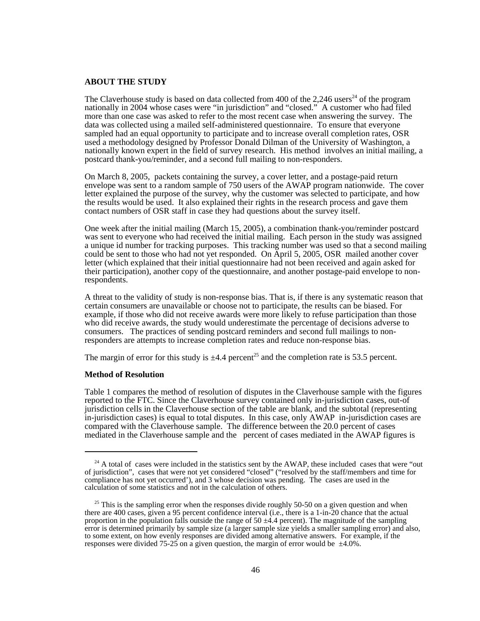## **ABOUT THE STUDY**

The Claverhouse study is based on data collected from 400 of the  $2,246$  users<sup>24</sup> of the program nationally in 2004 whose cases were "in jurisdiction" and "closed." A customer who had filed more than one case was asked to refer to the most recent case when answering the survey. The data was collected using a mailed self-administered questionnaire. To ensure that everyone sampled had an equal opportunity to participate and to increase overall completion rates, OSR used a methodology designed by Professor Donald Dilman of the University of Washington, a nationally known expert in the field of survey research. His method involves an initial mailing, a postcard thank-you/reminder, and a second full mailing to non-responders.

On March 8, 2005, packets containing the survey, a cover letter, and a postage-paid return envelope was sent to a random sample of 750 users of the AWAP program nationwide. The cover letter explained the purpose of the survey, why the customer was selected to participate, and how the results would be used. It also explained their rights in the research process and gave them contact numbers of OSR staff in case they had questions about the survey itself.

One week after the initial mailing (March 15, 2005), a combination thank-you/reminder postcard was sent to everyone who had received the initial mailing. Each person in the study was assigned a unique id number for tracking purposes. This tracking number was used so that a second mailing could be sent to those who had not yet responded. On April 5, 2005, OSR mailed another cover letter (which explained that their initial questionnaire had not been received and again asked for their participation), another copy of the questionnaire, and another postage-paid envelope to nonrespondents.

A threat to the validity of study is non-response bias. That is, if there is any systematic reason that certain consumers are unavailable or choose not to participate, the results can be biased. For example, if those who did not receive awards were more likely to refuse participation than those who did receive awards, the study would underestimate the percentage of decisions adverse to consumers. The practices of sending postcard reminders and second full mailings to nonresponders are attempts to increase completion rates and reduce non-response bias.

The margin of error for this study is  $\pm 4.4$  percent<sup>25</sup> and the completion rate is 53.5 percent.

#### **Method of Resolution**

Table 1 compares the method of resolution of disputes in the Claverhouse sample with the figures reported to the FTC. Since the Claverhouse survey contained only in-jurisdiction cases, out-of jurisdiction cells in the Claverhouse section of the table are blank, and the subtotal (representing in-jurisdiction cases) is equal to total disputes. In this case, only AWAP in-jurisdiction cases are compared with the Claverhouse sample. The difference between the 20.0 percent of cases mediated in the Claverhouse sample and the percent of cases mediated in the AWAP figures is

 $24$  A total of cases were included in the statistics sent by the AWAP, these included cases that were "out of jurisdiction", cases that were not yet considered "closed" ("resolved by the staff/members and time for compliance has not yet occurred'), and 3 whose decision was pending. The cases are used in the calculation of some statistics and not in the calculation of others.

 $25$  This is the sampling error when the responses divide roughly 50-50 on a given question and when there are 400 cases, given a 95 percent confidence interval (i.e., there is a 1-in-20 chance that the actual proportion in the population falls outside the range of 50  $\pm$ 4.4 percent). The magnitude of the sampling error is determined primarily by sample size (a larger sample size yields a smaller sampling error) and also, to some extent, on how evenly responses are divided among alternative answers. For example, if the responses were divided 75-25 on a given question, the margin of error would be ±4.0%.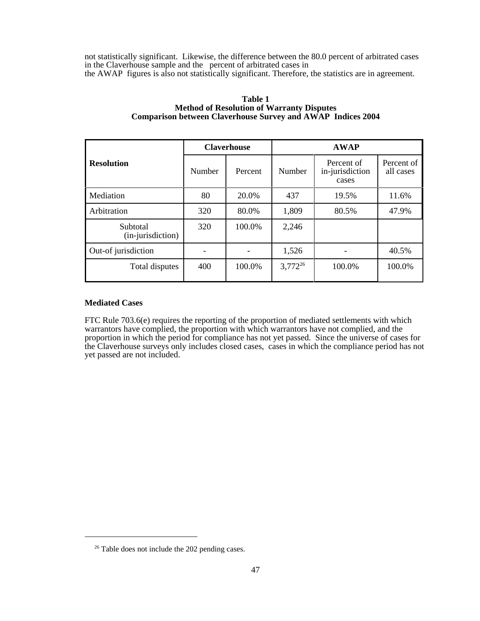not statistically significant. Likewise, the difference between the 80.0 percent of arbitrated cases in the Claverhouse sample and the percent of arbitrated cases in the AWAP figures is also not statistically significant. Therefore, the statistics are in agreement.

|                               | <b>Claverhouse</b> |         | <b>AWAP</b>  |                                        |                         |  |
|-------------------------------|--------------------|---------|--------------|----------------------------------------|-------------------------|--|
| <b>Resolution</b>             | Number             | Percent | Number       | Percent of<br>in-jurisdiction<br>cases | Percent of<br>all cases |  |
| Mediation                     | 80                 | 20.0%   | 437<br>19.5% |                                        | 11.6%                   |  |
| Arbitration                   | 320                | 80.0%   | 1,809        | 80.5%                                  | 47.9%                   |  |
| Subtotal<br>(in-jurisdiction) | 320                | 100.0%  | 2,246        |                                        |                         |  |
| Out-of jurisdiction           |                    |         | 1,526        |                                        | 40.5%                   |  |
| Total disputes                | 400                | 100.0%  | $3,772^{26}$ | 100.0%                                 | 100.0%                  |  |

### **Table 1 Method of Resolution of Warranty Disputes Comparison between Claverhouse Survey and AWAP Indices 2004**

## **Mediated Cases**

FTC Rule 703.6(e) requires the reporting of the proportion of mediated settlements with which warrantors have complied, the proportion with which warrantors have not complied, and the proportion in which the period for compliance has not yet passed. Since the universe of cases for the Claverhouse surveys only includes closed cases, cases in which the compliance period has not yet passed are not included.

<sup>&</sup>lt;sup>26</sup> Table does not include the 202 pending cases.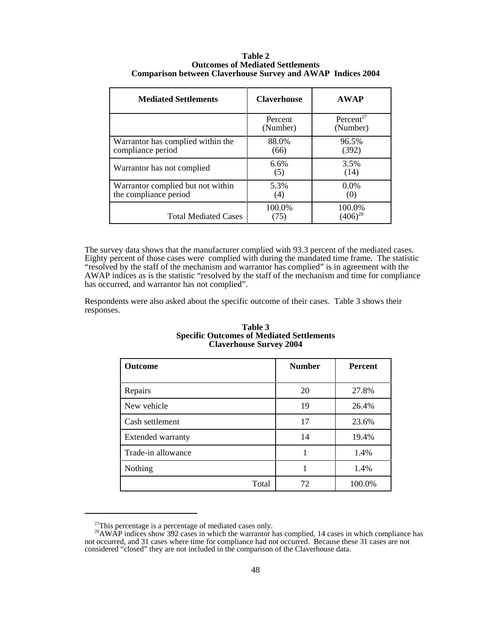| <b>Mediated Settlements</b>                                | <b>Claverhouse</b>  | <b>AWAP</b>                       |
|------------------------------------------------------------|---------------------|-----------------------------------|
|                                                            | Percent<br>(Number) | Percent <sup>27</sup><br>(Number) |
| Warrantor has complied within the<br>compliance period     | 88.0%<br>(66)       | 96.5%<br>(392)                    |
| Warrantor has not complied                                 | 6.6%<br>(5)         | 3.5%<br>(14)                      |
| Warrantor complied but not within<br>the compliance period | 5.3%<br>(4)         | $0.0\%$<br>(0)                    |
| <b>Total Mediated Cases</b>                                | 100.0%<br>(75)      | 100.0%<br>$(406)^{28}$            |

#### **Table 2 Outcomes of Mediated Settlements Comparison between Claverhouse Survey and AWAP Indices 2004**

The survey data shows that the manufacturer complied with 93.3 percent of the mediated cases. Eighty percent of those cases were complied with during the mandated time frame. The statistic "resolved by the staff of the mechanism and warrantor has complied" is in agreement with the AWAP indices as is the statistic "resolved by the staff of the mechanism and time for compliance has occurred, and warrantor has not complied".

Respondents were also asked about the specific outcome of their cases. Table 3 shows their responses.

| <b>Claverhouse Survey 2004</b> |               |                |  |  |  |  |
|--------------------------------|---------------|----------------|--|--|--|--|
| Outcome                        | <b>Number</b> | <b>Percent</b> |  |  |  |  |
| Repairs                        | 20            | 27.8%          |  |  |  |  |
| New vehicle                    | 19            | 26.4%          |  |  |  |  |
| Cash settlement                | 17            | 23.6%          |  |  |  |  |
| <b>Extended warranty</b>       | 14            | 19.4%          |  |  |  |  |
| Trade-in allowance             | 1             | 1.4%           |  |  |  |  |
| Nothing                        | 1             | 1.4%           |  |  |  |  |
| Total                          | 72            | 100.0%         |  |  |  |  |

#### **Table 3 Specific Outcomes of Mediated Settlements Claverhouse Survey 2004**

 $27$ This percentage is a percentage of mediated cases only.

 $^{28}$ AWAP indices show 392 cases in which the warrantor has complied, 14 cases in which compliance has not occurred, and 31 cases where time for compliance had not occurred. Because these 31 cases are not considered "closed" they are not included in the comparison of the Claverhouse data.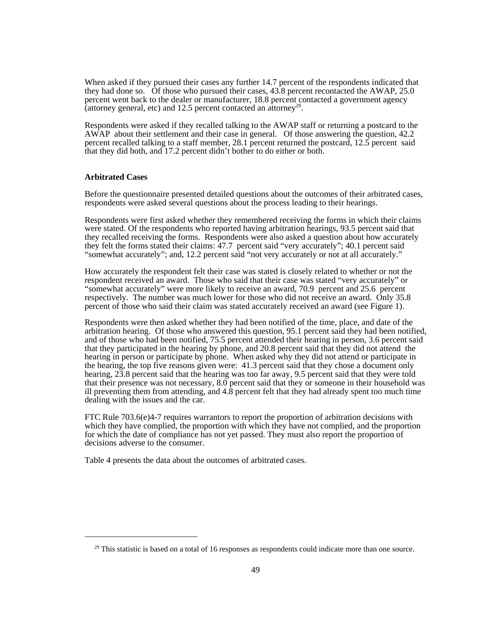When asked if they pursued their cases any further 14.7 percent of the respondents indicated that they had done so. Of those who pursued their cases, 43.8 percent recontacted the AWAP, 25.0 percent went back to the dealer or manufacturer, 18.8 percent contacted a government agency (attorney general, etc) and 12.5 percent contacted an attorney<sup>29</sup>.

Respondents were asked if they recalled talking to the AWAP staff or returning a postcard to the AWAP about their settlement and their case in general. Of those answering the question, 42.2 percent recalled talking to a staff member, 28.1 percent returned the postcard, 12.5 percent said that they did both, and 17.2 percent didn't bother to do either or both.

#### **Arbitrated Cases**

Before the questionnaire presented detailed questions about the outcomes of their arbitrated cases, respondents were asked several questions about the process leading to their hearings.

Respondents were first asked whether they remembered receiving the forms in which their claims were stated. Of the respondents who reported having arbitration hearings, 93.5 percent said that they recalled receiving the forms. Respondents were also asked a question about how accurately they felt the forms stated their claims: 47.7 percent said "very accurately"; 40.1 percent said "somewhat accurately"; and, 12.2 percent said "not very accurately or not at all accurately."

How accurately the respondent felt their case was stated is closely related to whether or not the respondent received an award. Those who said that their case was stated "very accurately" or "somewhat accurately" were more likely to receive an award, 70.9 percent and 25.6 percent respectively. The number was much lower for those who did not receive an award. Only 35.8 percent of those who said their claim was stated accurately received an award (see Figure 1).

Respondents were then asked whether they had been notified of the time, place, and date of the arbitration hearing. Of those who answered this question, 95.1 percent said they had been notified, and of those who had been notified, 75.5 percent attended their hearing in person, 3.6 percent said that they participated in the hearing by phone, and 20.8 percent said that they did not attend the hearing in person or participate by phone. When asked why they did not attend or participate in the hearing, the top five reasons given were: 41.3 percent said that they chose a document only hearing, 23.8 percent said that the hearing was too far away, 9.5 percent said that they were told that their presence was not necessary, 8.0 percent said that they or someone in their household was ill preventing them from attending, and 4.8 percent felt that they had already spent too much time dealing with the issues and the car.

FTC Rule  $703.6(e)4-7$  requires warrantors to report the proportion of arbitration decisions with which they have complied, the proportion with which they have not complied, and the proportion for which the date of compliance has not yet passed. They must also report the proportion of decisions adverse to the consumer.

Table 4 presents the data about the outcomes of arbitrated cases.

 $29$  This statistic is based on a total of 16 responses as respondents could indicate more than one source.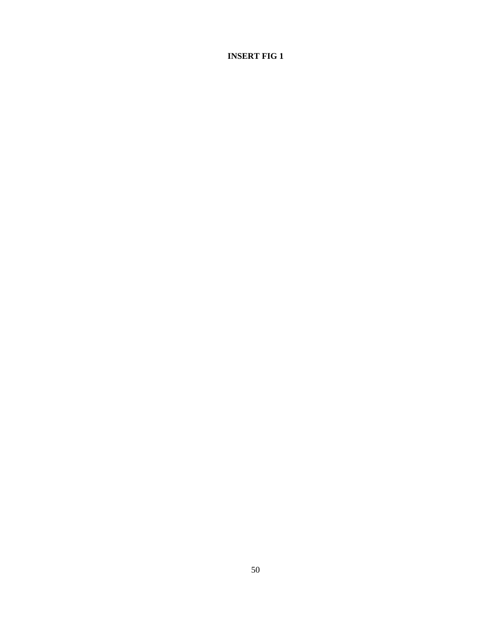## **INSERT FIG 1**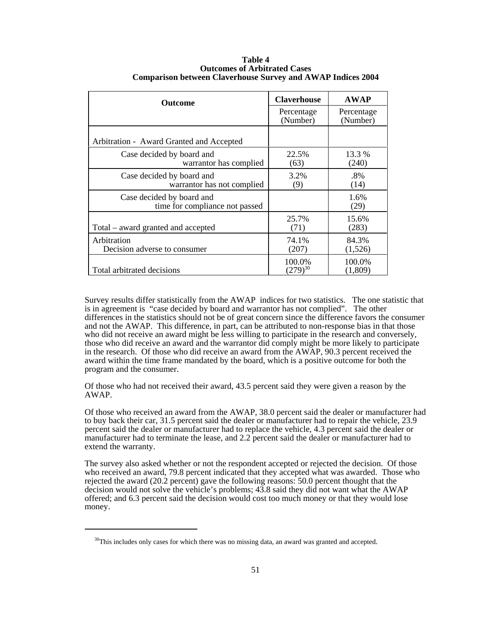| Outcome                                                     | <b>Claverhouse</b>     | <b>AWAP</b>            |  |
|-------------------------------------------------------------|------------------------|------------------------|--|
|                                                             | Percentage<br>(Number) | Percentage<br>(Number) |  |
| Arbitration - Award Granted and Accepted                    |                        |                        |  |
| Case decided by board and<br>warrantor has complied         | 22.5%<br>(63)          | 13.3 %<br>(240)        |  |
| Case decided by board and<br>warrantor has not complied     | 3.2%<br>(9)            | .8%<br>(14)            |  |
| Case decided by board and<br>time for compliance not passed |                        | 1.6%<br>(29)           |  |
| Total – award granted and accepted                          | 25.7%<br>(71)          | 15.6%<br>(283)         |  |
| Arbitration<br>Decision adverse to consumer                 | 74.1%<br>(207)         | 84.3%<br>(1,526)       |  |
| Total arbitrated decisions                                  | 100.0%<br>$(279)^{30}$ | 100.0%<br>(1,809)      |  |

#### **Table 4 Outcomes of Arbitrated Cases Comparison between Claverhouse Survey and AWAP Indices 2004**

Survey results differ statistically from the AWAP indices for two statistics. The one statistic that is in agreement is "case decided by board and warrantor has not complied". The other differences in the statistics should not be of great concern since the difference favors the consumer and not the AWAP. This difference, in part, can be attributed to non-response bias in that those who did not receive an award might be less willing to participate in the research and conversely, those who did receive an award and the warrantor did comply might be more likely to participate in the research. Of those who did receive an award from the AWAP, 90.3 percent received the award within the time frame mandated by the board, which is a positive outcome for both the program and the consumer.

Of those who had not received their award, 43.5 percent said they were given a reason by the AWAP.

Of those who received an award from the AWAP, 38.0 percent said the dealer or manufacturer had to buy back their car, 31.5 percent said the dealer or manufacturer had to repair the vehicle, 23.9 percent said the dealer or manufacturer had to replace the vehicle, 4.3 percent said the dealer or manufacturer had to terminate the lease, and 2.2 percent said the dealer or manufacturer had to extend the warranty.

The survey also asked whether or not the respondent accepted or rejected the decision. Of those who received an award, 79.8 percent indicated that they accepted what was awarded. Those who rejected the award (20.2 percent) gave the following reasons: 50.0 percent thought that the decision would not solve the vehicle's problems; 43.8 said they did not want what the AWAP offered; and 6.3 percent said the decision would cost too much money or that they would lose money.

 $30$ This includes only cases for which there was no missing data, an award was granted and accepted.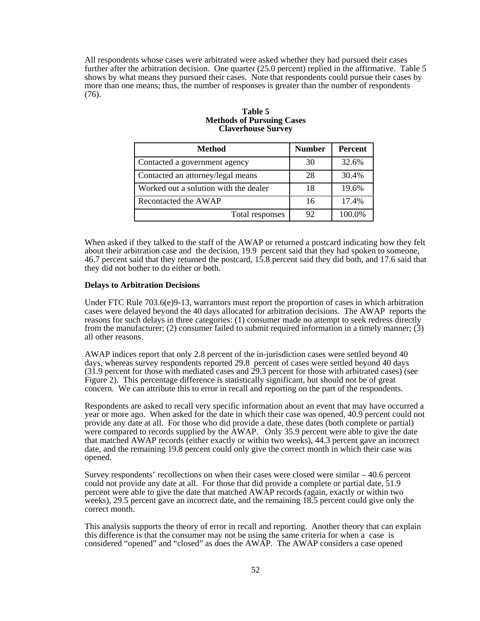All respondents whose cases were arbitrated were asked whether they had pursued their cases further after the arbitration decision. One quarter (25.0 percent) replied in the affirmative. Table 5 shows by what means they pursued their cases. Note that respondents could pursue their cases by more than one means; thus, the number of responses is greater than the number of respondents (76).

### **Table 5 Methods of Pursuing Cases Claverhouse Survey**

| <b>Method</b>                         | <b>Number</b> | <b>Percent</b> |
|---------------------------------------|---------------|----------------|
| Contacted a government agency         | 30            | 32.6%          |
| Contacted an attorney/legal means     | 28            | 30.4%          |
| Worked out a solution with the dealer | 18            | 19.6%          |
| Recontacted the AWAP                  | 16            | 17.4%          |
| Total responses                       | 92            | 100.0%         |

When asked if they talked to the staff of the AWAP or returned a postcard indicating how they felt about their arbitration case and the decision, 19.9 percent said that they had spoken to someone, 46.7 percent said that they returned the postcard, 15.8 percent said they did both, and 17.6 said that they did not bother to do either or both.

#### **Delays to Arbitration Decisions**

Under FTC Rule 703.6(e)9-13, warrantors must report the proportion of cases in which arbitration cases were delayed beyond the 40 days allocated for arbitration decisions. The AWAP reports the reasons for such delays in three categories: (1) consumer made no attempt to seek redress directly from the manufacturer; (2) consumer failed to submit required information in a timely manner; (3) all other reasons.

AWAP indices report that only 2.8 percent of the in-jurisdiction cases were settled beyond 40 days, whereas survey respondents reported 29.8 percent of cases were settled beyond 40 days (31.9 percent for those with mediated cases and 29.3 percent for those with arbitrated cases) (see Figure 2). This percentage difference is statistically significant, but should not be of great concern. We can attribute this to error in recall and reporting on the part of the respondents.

Respondents are asked to recall very specific information about an event that may have occurred a year or more ago. When asked for the date in which their case was opened, 40.9 percent could not provide any date at all. For those who did provide a date, these dates (both complete or partial) were compared to records supplied by the AWAP. Only 35.9 percent were able to give the date that matched AWAP records (either exactly or within two weeks), 44.3 percent gave an incorrect date, and the remaining 19.8 percent could only give the correct month in which their case was opened.

Survey respondents' recollections on when their cases were closed were similar – 40.6 percent could not provide any date at all. For those that did provide a complete or partial date, 51.9 percent were able to give the date that matched AWAP records (again, exactly or within two weeks), 29.5 percent gave an incorrect date, and the remaining 18.5 percent could give only the correct month.

This analysis supports the theory of error in recall and reporting. Another theory that can explain this difference is that the consumer may not be using the same criteria for when a case is considered "opened" and "closed" as does the AWAP. The AWAP considers a case opened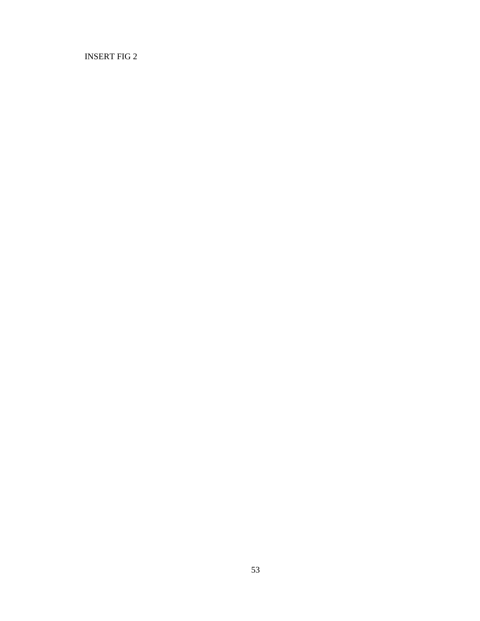INSERT FIG 2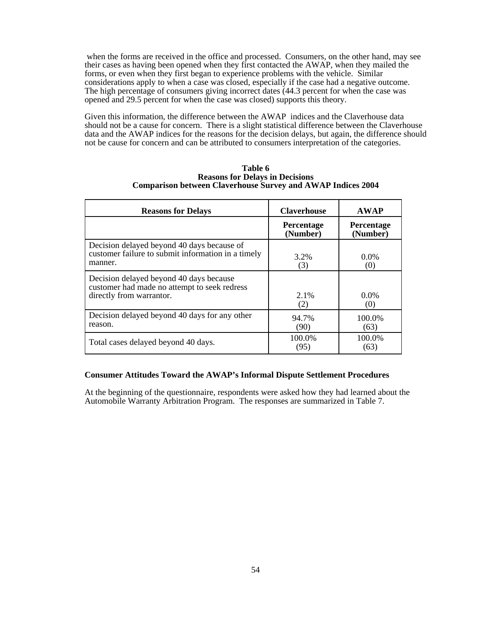when the forms are received in the office and processed. Consumers, on the other hand, may see their cases as having been opened when they first contacted the AWAP, when they mailed the forms, or even when they first began to experience problems with the vehicle. Similar considerations apply to when a case was closed, especially if the case had a negative outcome. The high percentage of consumers giving incorrect dates (44.3 percent for when the case was opened and 29.5 percent for when the case was closed) supports this theory.

Given this information, the difference between the AWAP indices and the Claverhouse data should not be a cause for concern. There is a slight statistical difference between the Claverhouse data and the AWAP indices for the reasons for the decision delays, but again, the difference should not be cause for concern and can be attributed to consumers interpretation of the categories.

| Table 6                                                            |
|--------------------------------------------------------------------|
| <b>Reasons for Delays in Decisions</b>                             |
| <b>Comparison between Claverhouse Survey and AWAP Indices 2004</b> |

| <b>Reasons for Delays</b>                                                                                           | <b>Claverhouse</b>            | <b>AWAP</b>            |  |
|---------------------------------------------------------------------------------------------------------------------|-------------------------------|------------------------|--|
|                                                                                                                     | <b>Percentage</b><br>(Number) | Percentage<br>(Number) |  |
| Decision delayed beyond 40 days because of<br>customer failure to submit information in a timely<br>manner.         | 3.2%<br>(3)                   | $0.0\%$<br>(0)         |  |
| Decision delayed beyond 40 days because<br>customer had made no attempt to seek redress<br>directly from warrantor. | 2.1%<br>(2)                   | $0.0\%$<br>(0)         |  |
| Decision delayed beyond 40 days for any other<br>reason.                                                            | 94.7%<br>(90)                 | 100.0%<br>(63)         |  |
| Total cases delayed beyond 40 days.                                                                                 | 100.0%<br>(95)                | 100.0%<br>(63)         |  |

### **Consumer Attitudes Toward the AWAP's Informal Dispute Settlement Procedures**

At the beginning of the questionnaire, respondents were asked how they had learned about the Automobile Warranty Arbitration Program. The responses are summarized in Table 7.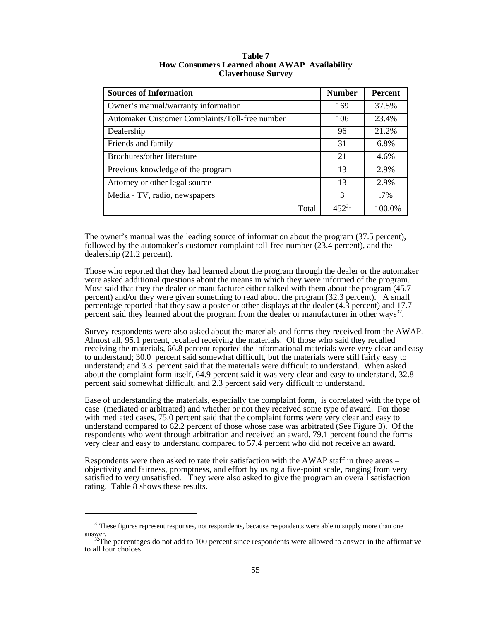| <b>Sources of Information</b>                  | <b>Number</b> | <b>Percent</b> |
|------------------------------------------------|---------------|----------------|
| Owner's manual/warranty information            | 169           | 37.5%          |
| Automaker Customer Complaints/Toll-free number | 106           | 23.4%          |
| Dealership                                     | 96            | 21.2%          |
| Friends and family                             | 31            | 6.8%           |
| Brochures/other literature                     | 21            | 4.6%           |
| Previous knowledge of the program              | 13            | 2.9%           |
| Attorney or other legal source                 | 13            | 2.9%           |
| Media - TV, radio, newspapers                  | 3             | $.7\%$         |
| Total                                          | $452^{31}$    | 100.0%         |

**Table 7 How Consumers Learned about AWAP Availability Claverhouse Survey**

The owner's manual was the leading source of information about the program (37.5 percent), followed by the automaker's customer complaint toll-free number (23.4 percent), and the dealership (21.2 percent).

Those who reported that they had learned about the program through the dealer or the automaker were asked additional questions about the means in which they were informed of the program. Most said that they the dealer or manufacturer either talked with them about the program (45.7 percent) and/or they were given something to read about the program (32.3 percent). A small percentage reported that they saw a poster or other displays at the dealer (4.3 percent) and 17.7 percent said they learned about the program from the dealer or manufacturer in other ways<sup>32</sup>.

Survey respondents were also asked about the materials and forms they received from the AWAP. Almost all, 95.1 percent, recalled receiving the materials. Of those who said they recalled receiving the materials, 66.8 percent reported the informational materials were very clear and easy to understand; 30.0 percent said somewhat difficult, but the materials were still fairly easy to understand; and 3.3 percent said that the materials were difficult to understand. When asked about the complaint form itself, 64.9 percent said it was very clear and easy to understand, 32.8 percent said somewhat difficult, and 2.3 percent said very difficult to understand.

Ease of understanding the materials, especially the complaint form, is correlated with the type of case (mediated or arbitrated) and whether or not they received some type of award. For those with mediated cases, 75.0 percent said that the complaint forms were very clear and easy to understand compared to  $62.2$  percent of those whose case was arbitrated (See Figure 3). Of the respondents who went through arbitration and received an award, 79.1 percent found the forms very clear and easy to understand compared to 57.4 percent who did not receive an award.

Respondents were then asked to rate their satisfaction with the AWAP staff in three areas – objectivity and fairness, promptness, and effort by using a five-point scale, ranging from very satisfied to very unsatisfied. They were also asked to give the program an overall satisfaction rating. Table 8 shows these results.

<sup>&</sup>lt;sup>31</sup>These figures represent responses, not respondents, because respondents were able to supply more than one

answer.<br><sup>32</sup>The percentages do not add to 100 percent since respondents were allowed to answer in the affirmative to all four choices.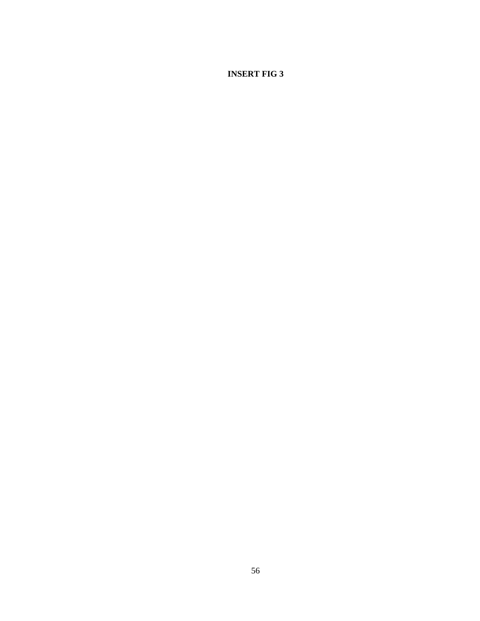**INSERT FIG 3**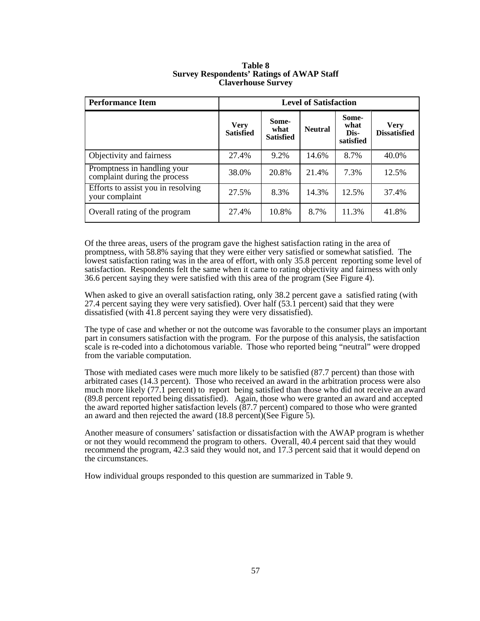| <b>Performance Item</b>                                     | <b>Level of Satisfaction</b>    |                                   |                |                                    |                                    |  |
|-------------------------------------------------------------|---------------------------------|-----------------------------------|----------------|------------------------------------|------------------------------------|--|
|                                                             | <b>Very</b><br><b>Satisfied</b> | Some-<br>what<br><b>Satisfied</b> | <b>Neutral</b> | Some-<br>what<br>Dis-<br>satisfied | <b>Very</b><br><b>Dissatisfied</b> |  |
| Objectivity and fairness                                    | 27.4%                           | 9.2%                              | 14.6%          | 8.7%                               | 40.0%                              |  |
| Promptness in handling your<br>complaint during the process | 38.0%                           | 20.8%                             | 21.4%          | 7.3%                               | 12.5%                              |  |
| Efforts to assist you in resolving<br>your complaint        | 27.5%                           | 8.3%                              | 14.3%          | 12.5%                              | 37.4%                              |  |
| Overall rating of the program                               | 27.4%                           | 10.8%                             | 8.7%           | 11.3%                              | 41.8%                              |  |

#### **Table 8 Survey Respondents' Ratings of AWAP Staff Claverhouse Survey**

Of the three areas, users of the program gave the highest satisfaction rating in the area of promptness, with 58.8% saying that they were either very satisfied or somewhat satisfied. The lowest satisfaction rating was in the area of effort, with only 35.8 percent reporting some level of satisfaction. Respondents felt the same when it came to rating objectivity and fairness with only 36.6 percent saying they were satisfied with this area of the program (See Figure 4).

When asked to give an overall satisfaction rating, only 38.2 percent gave a satisfied rating (with 27.4 percent saying they were very satisfied). Over half (53.1 percent) said that they were dissatisfied (with 41.8 percent saying they were very dissatisfied).

The type of case and whether or not the outcome was favorable to the consumer plays an important part in consumers satisfaction with the program. For the purpose of this analysis, the satisfaction scale is re-coded into a dichotomous variable. Those who reported being "neutral" were dropped from the variable computation.

Those with mediated cases were much more likely to be satisfied (87.7 percent) than those with arbitrated cases (14.3 percent). Those who received an award in the arbitration process were also much more likely (77.1 percent) to report being satisfied than those who did not receive an award (89.8 percent reported being dissatisfied). Again, those who were granted an award and accepted the award reported higher satisfaction levels (87.7 percent) compared to those who were granted an award and then rejected the award (18.8 percent)(See Figure 5).

Another measure of consumers' satisfaction or dissatisfaction with the AWAP program is whether or not they would recommend the program to others. Overall, 40.4 percent said that they would recommend the program, 42.3 said they would not, and 17.3 percent said that it would depend on the circumstances.

How individual groups responded to this question are summarized in Table 9.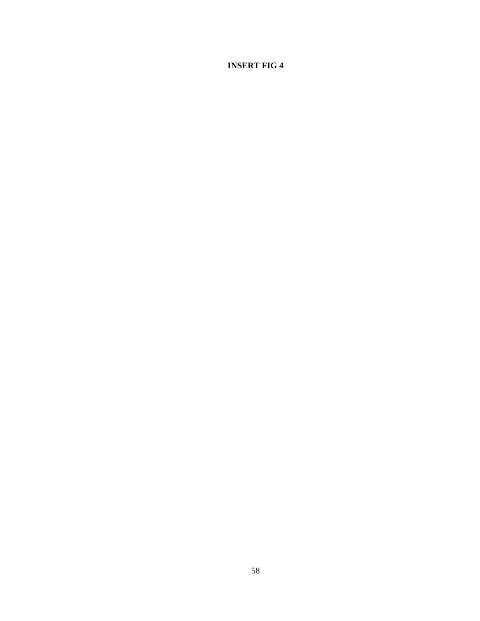## **INSERT FIG 4**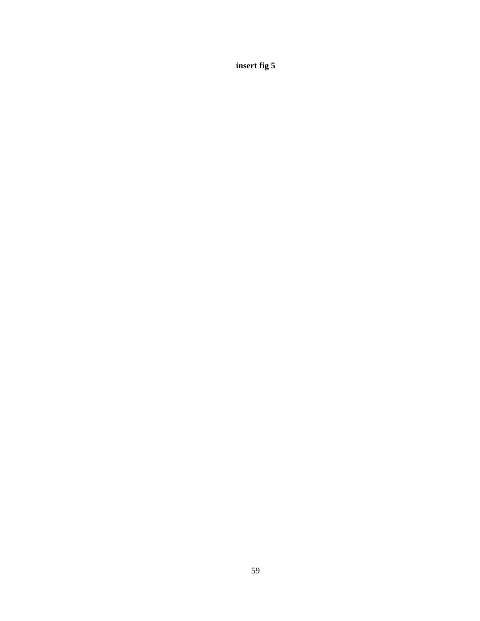**insert fig 5**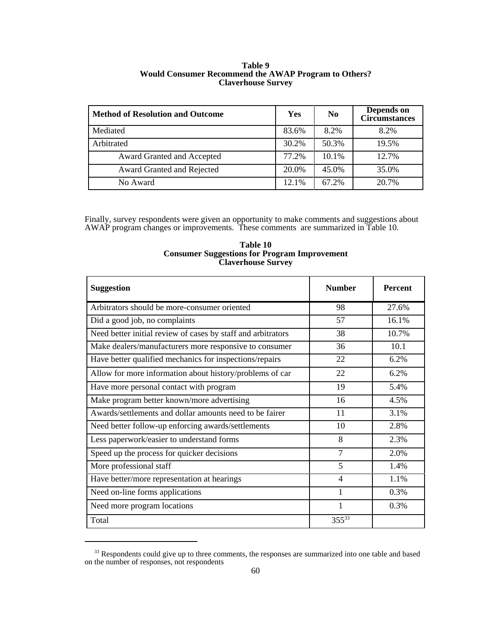| <b>Method of Resolution and Outcome</b> | Yes   | N <sub>0</sub> | Depends on<br><b>Circumstances</b> |
|-----------------------------------------|-------|----------------|------------------------------------|
| Mediated                                | 83.6% | 8.2%           | 8.2%                               |
| Arbitrated                              | 30.2% | 50.3%          | 19.5%                              |
| Award Granted and Accepted              | 77.2% | 10.1%          | 12.7%                              |
| Award Granted and Rejected              | 20.0% | 45.0%          | 35.0%                              |

No Award 12.1% 67.2% 20.7%

### **Table 9 Would Consumer Recommend the AWAP Program to Others? Claverhouse Survey**

Finally, survey respondents were given an opportunity to make comments and suggestions about AWAP program changes or improvements. These comments are summarized in Table 10.

| <b>Suggestion</b>                                            | <b>Number</b> | <b>Percent</b> |
|--------------------------------------------------------------|---------------|----------------|
| Arbitrators should be more-consumer oriented                 | 98            | 27.6%          |
| Did a good job, no complaints                                | 57            | 16.1%          |
| Need better initial review of cases by staff and arbitrators | 38            | 10.7%          |
| Make dealers/manufacturers more responsive to consumer       | 36            | 10.1           |
| Have better qualified mechanics for inspections/repairs      | 22            | 6.2%           |
| Allow for more information about history/problems of car     | 22            | 6.2%           |
| Have more personal contact with program                      | 19            | 5.4%           |
| Make program better known/more advertising                   | 16            | 4.5%           |
| Awards/settlements and dollar amounts need to be fairer      | 11            | 3.1%           |
| Need better follow-up enforcing awards/settlements           | 10            | 2.8%           |
| Less paperwork/easier to understand forms                    | 8             | 2.3%           |
| Speed up the process for quicker decisions                   | 7             | 2.0%           |
| More professional staff                                      | 5             | 1.4%           |
| Have better/more representation at hearings                  | 4             | 1.1%           |
| Need on-line forms applications                              | 1             | 0.3%           |
| Need more program locations                                  | 1             | 0.3%           |
| Total                                                        | $355^{33}$    |                |

**Table 10 Consumer Suggestions for Program Improvement Claverhouse Survey**

<sup>&</sup>lt;sup>33</sup> Respondents could give up to three comments, the responses are summarized into one table and based on the number of responses, not respondents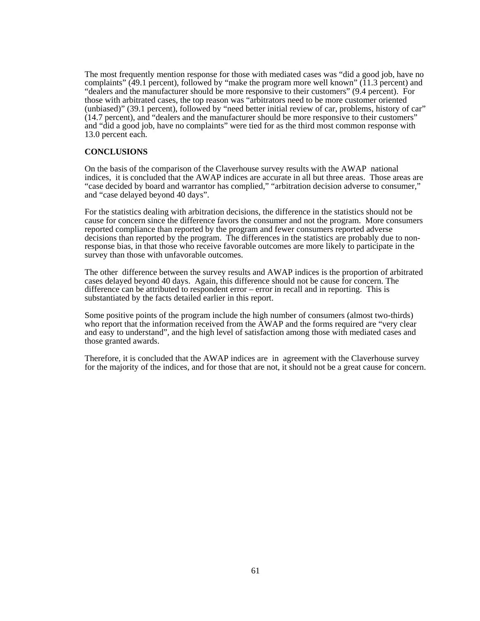The most frequently mention response for those with mediated cases was "did a good job, have no complaints" (49.1 percent), followed by "make the program more well known" (11.3 percent) and "dealers and the manufacturer should be more responsive to their customers" (9.4 percent). For those with arbitrated cases, the top reason was "arbitrators need to be more customer oriented (unbiased)" (39.1 percent), followed by "need better initial review of car, problems, history of car" (14.7 percent), and "dealers and the manufacturer should be more responsive to their customers" and "did a good job, have no complaints" were tied for as the third most common response with 13.0 percent each.

## **CONCLUSIONS**

On the basis of the comparison of the Claverhouse survey results with the AWAP national indices, it is concluded that the AWAP indices are accurate in all but three areas. Those areas are "case decided by board and warrantor has complied," "arbitration decision adverse to consumer," and "case delayed beyond 40 days".

For the statistics dealing with arbitration decisions, the difference in the statistics should not be cause for concern since the difference favors the consumer and not the program. More consumers reported compliance than reported by the program and fewer consumers reported adverse decisions than reported by the program. The differences in the statistics are probably due to nonresponse bias, in that those who receive favorable outcomes are more likely to participate in the survey than those with unfavorable outcomes.

The other difference between the survey results and AWAP indices is the proportion of arbitrated cases delayed beyond 40 days. Again, this difference should not be cause for concern. The difference can be attributed to respondent error – error in recall and in reporting. This is substantiated by the facts detailed earlier in this report.

Some positive points of the program include the high number of consumers (almost two-thirds) who report that the information received from the AWAP and the forms required are "very clear" and easy to understand", and the high level of satisfaction among those with mediated cases and those granted awards.

Therefore, it is concluded that the AWAP indices are in agreement with the Claverhouse survey for the majority of the indices, and for those that are not, it should not be a great cause for concern.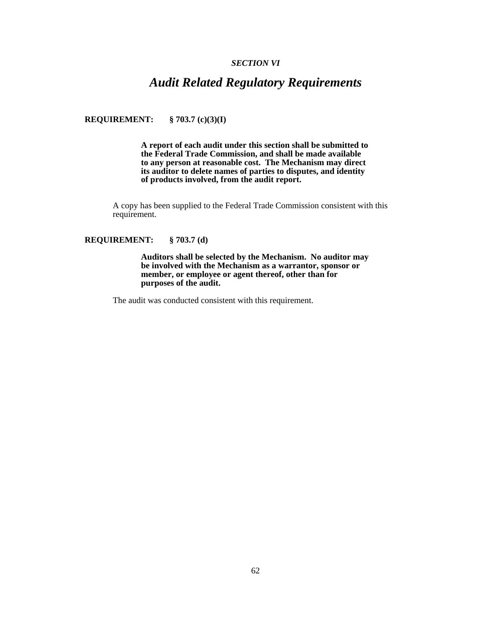#### *SECTION VI*

## *Audit Related Regulatory Requirements*

**REQUIREMENT: § 703.7 (c)(3)(I)**

**A report of each audit under this section shall be submitted to the Federal Trade Commission, and shall be made available to any person at reasonable cost. The Mechanism may direct its auditor to delete names of parties to disputes, and identity of products involved, from the audit report.**

A copy has been supplied to the Federal Trade Commission consistent with this requirement.

#### **REQUIREMENT: § 703.7 (d)**

**Auditors shall be selected by the Mechanism. No auditor may be involved with the Mechanism as a warrantor, sponsor or member, or employee or agent thereof, other than for purposes of the audit.**

The audit was conducted consistent with this requirement.